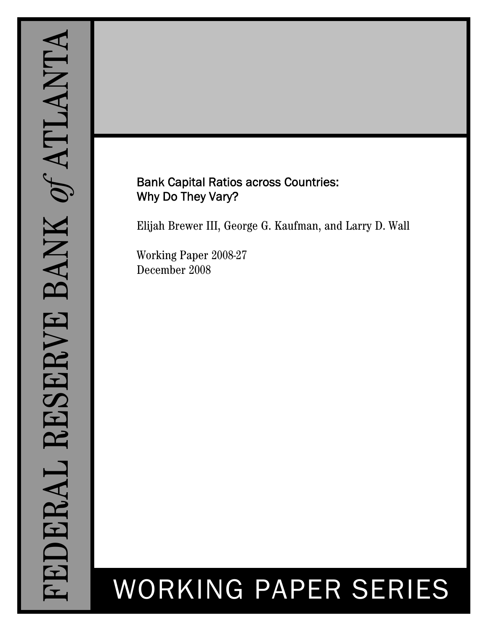## Bank Capital Ratios across Countries: Why Do They Vary?

Elijah Brewer III, George G. Kaufman, and Larry D. Wall

Working Paper 2008-27 December 2008

# WORKING PAPER SERIES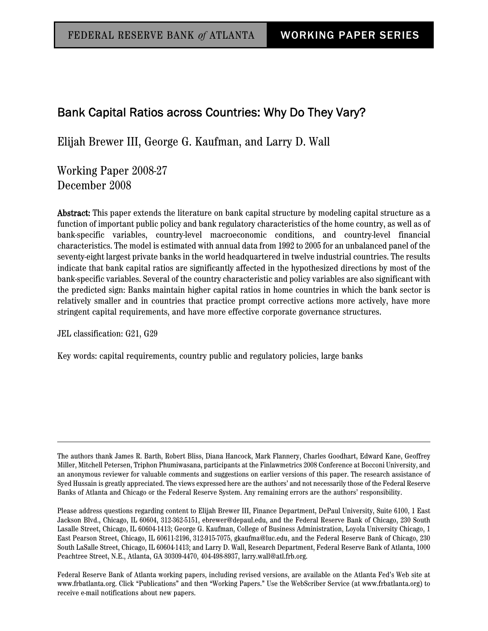## Bank Capital Ratios across Countries: Why Do They Vary?

Elijah Brewer III, George G. Kaufman, and Larry D. Wall

Working Paper 2008-27 December 2008

Abstract: This paper extends the literature on bank capital structure by modeling capital structure as a function of important public policy and bank regulatory characteristics of the home country, as well as of bank-specific variables, country-level macroeconomic conditions, and country-level financial characteristics. The model is estimated with annual data from 1992 to 2005 for an unbalanced panel of the seventy-eight largest private banks in the world headquartered in twelve industrial countries. The results indicate that bank capital ratios are significantly affected in the hypothesized directions by most of the bank-specific variables. Several of the country characteristic and policy variables are also significant with the predicted sign: Banks maintain higher capital ratios in home countries in which the bank sector is relatively smaller and in countries that practice prompt corrective actions more actively, have more stringent capital requirements, and have more effective corporate governance structures.

JEL classification: G21, G29

Key words: capital requirements, country public and regulatory policies, large banks

Federal Reserve Bank of Atlanta working papers, including revised versions, are available on the Atlanta Fed's Web site at www.frbatlanta.org. Click "Publications" and then "Working Papers." Use the WebScriber Service (at www.frbatlanta.org) to receive e-mail notifications about new papers.

The authors thank James R. Barth, Robert Bliss, Diana Hancock, Mark Flannery, Charles Goodhart, Edward Kane, Geoffrey Miller, Mitchell Petersen, Triphon Phumiwasana, participants at the Finlawmetrics 2008 Conference at Bocconi University, and an anonymous reviewer for valuable comments and suggestions on earlier versions of this paper. The research assistance of Syed Hussain is greatly appreciated. The views expressed here are the authors' and not necessarily those of the Federal Reserve Banks of Atlanta and Chicago or the Federal Reserve System. Any remaining errors are the authors' responsibility.

Please address questions regarding content to Elijah Brewer III, Finance Department, DePaul University, Suite 6100, 1 East Jackson Blvd., Chicago, IL 60604, 312-362-5151, ebrewer@depaul.edu, and the Federal Reserve Bank of Chicago, 230 South Lasalle Street, Chicago, IL 60604-1413; George G. Kaufman, College of Business Administration, Loyola University Chicago, 1 East Pearson Street, Chicago, IL 60611-2196, 312-915-7075, gkaufma@luc.edu, and the Federal Reserve Bank of Chicago, 230 South LaSalle Street, Chicago, IL 60604-1413; and Larry D. Wall, Research Department, Federal Reserve Bank of Atlanta, 1000 Peachtree Street, N.E., Atlanta, GA 30309-4470, 404-498-8937, larry.wall@atl.frb.org.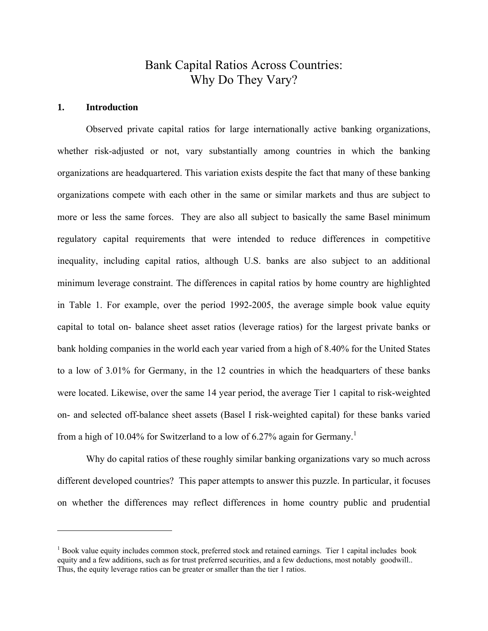## Bank Capital Ratios Across Countries: Why Do They Vary?

#### **1. Introduction**

 $\overline{a}$ 

Observed private capital ratios for large internationally active banking organizations, whether risk-adjusted or not, vary substantially among countries in which the banking organizations are headquartered. This variation exists despite the fact that many of these banking organizations compete with each other in the same or similar markets and thus are subject to more or less the same forces. They are also all subject to basically the same Basel minimum regulatory capital requirements that were intended to reduce differences in competitive inequality, including capital ratios, although U.S. banks are also subject to an additional minimum leverage constraint. The differences in capital ratios by home country are highlighted in Table 1. For example, over the period 1992-2005, the average simple book value equity capital to total on- balance sheet asset ratios (leverage ratios) for the largest private banks or bank holding companies in the world each year varied from a high of 8.40% for the United States to a low of 3.01% for Germany, in the 12 countries in which the headquarters of these banks were located. Likewise, over the same 14 year period, the average Tier 1 capital to risk-weighted on- and selected off-balance sheet assets (Basel I risk-weighted capital) for these banks varied from a high of 10.04% for Switzerland to a low of 6.27% again for Germany.<sup>1</sup>

 Why do capital ratios of these roughly similar banking organizations vary so much across different developed countries? This paper attempts to answer this puzzle. In particular, it focuses on whether the differences may reflect differences in home country public and prudential

<sup>&</sup>lt;sup>1</sup> Book value equity includes common stock, preferred stock and retained earnings. Tier 1 capital includes book equity and a few additions, such as for trust preferred securities, and a few deductions, most notably goodwill.. Thus, the equity leverage ratios can be greater or smaller than the tier 1 ratios.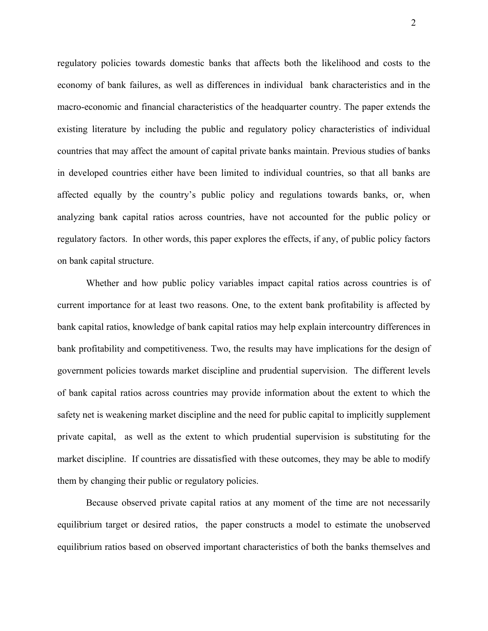regulatory policies towards domestic banks that affects both the likelihood and costs to the economy of bank failures, as well as differences in individual bank characteristics and in the macro-economic and financial characteristics of the headquarter country. The paper extends the existing literature by including the public and regulatory policy characteristics of individual countries that may affect the amount of capital private banks maintain. Previous studies of banks in developed countries either have been limited to individual countries, so that all banks are affected equally by the country's public policy and regulations towards banks, or, when analyzing bank capital ratios across countries, have not accounted for the public policy or regulatory factors. In other words, this paper explores the effects, if any, of public policy factors on bank capital structure.

Whether and how public policy variables impact capital ratios across countries is of current importance for at least two reasons. One, to the extent bank profitability is affected by bank capital ratios, knowledge of bank capital ratios may help explain intercountry differences in bank profitability and competitiveness. Two, the results may have implications for the design of government policies towards market discipline and prudential supervision. The different levels of bank capital ratios across countries may provide information about the extent to which the safety net is weakening market discipline and the need for public capital to implicitly supplement private capital, as well as the extent to which prudential supervision is substituting for the market discipline. If countries are dissatisfied with these outcomes, they may be able to modify them by changing their public or regulatory policies.

 Because observed private capital ratios at any moment of the time are not necessarily equilibrium target or desired ratios, the paper constructs a model to estimate the unobserved equilibrium ratios based on observed important characteristics of both the banks themselves and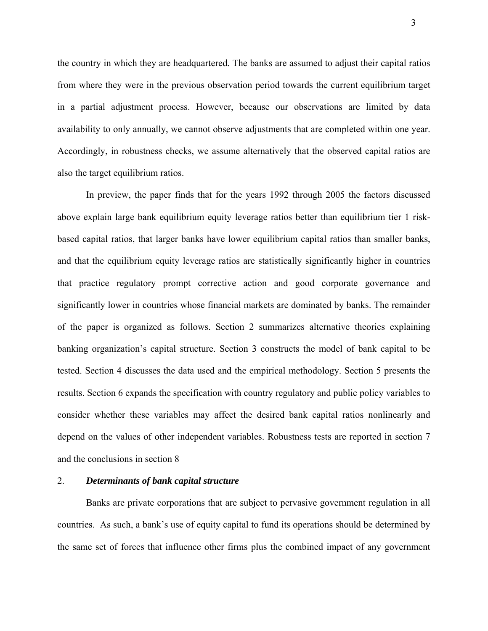the country in which they are headquartered. The banks are assumed to adjust their capital ratios from where they were in the previous observation period towards the current equilibrium target in a partial adjustment process. However, because our observations are limited by data availability to only annually, we cannot observe adjustments that are completed within one year. Accordingly, in robustness checks, we assume alternatively that the observed capital ratios are also the target equilibrium ratios.

In preview, the paper finds that for the years 1992 through 2005 the factors discussed above explain large bank equilibrium equity leverage ratios better than equilibrium tier 1 riskbased capital ratios, that larger banks have lower equilibrium capital ratios than smaller banks, and that the equilibrium equity leverage ratios are statistically significantly higher in countries that practice regulatory prompt corrective action and good corporate governance and significantly lower in countries whose financial markets are dominated by banks. The remainder of the paper is organized as follows. Section 2 summarizes alternative theories explaining banking organization's capital structure. Section 3 constructs the model of bank capital to be tested. Section 4 discusses the data used and the empirical methodology. Section 5 presents the results. Section 6 expands the specification with country regulatory and public policy variables to consider whether these variables may affect the desired bank capital ratios nonlinearly and depend on the values of other independent variables. Robustness tests are reported in section 7 and the conclusions in section 8

#### 2. *Determinants of bank capital structure*

Banks are private corporations that are subject to pervasive government regulation in all countries. As such, a bank's use of equity capital to fund its operations should be determined by the same set of forces that influence other firms plus the combined impact of any government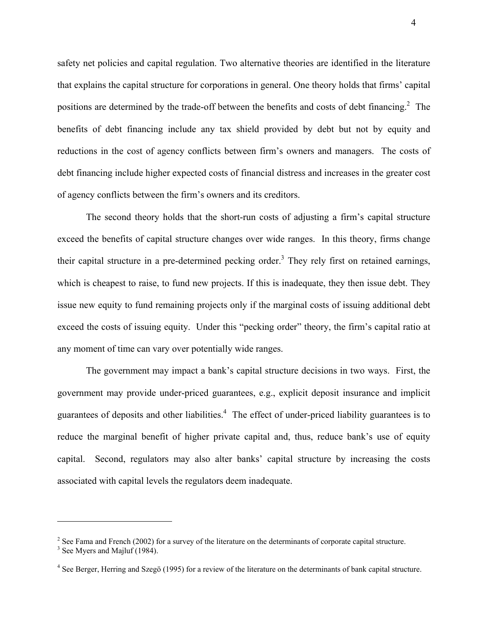safety net policies and capital regulation. Two alternative theories are identified in the literature that explains the capital structure for corporations in general. One theory holds that firms' capital positions are determined by the trade-off between the benefits and costs of debt financing.<sup>2</sup> The benefits of debt financing include any tax shield provided by debt but not by equity and reductions in the cost of agency conflicts between firm's owners and managers. The costs of debt financing include higher expected costs of financial distress and increases in the greater cost of agency conflicts between the firm's owners and its creditors.

The second theory holds that the short-run costs of adjusting a firm's capital structure exceed the benefits of capital structure changes over wide ranges. In this theory, firms change their capital structure in a pre-determined pecking order.<sup>3</sup> They rely first on retained earnings, which is cheapest to raise, to fund new projects. If this is inadequate, they then issue debt. They issue new equity to fund remaining projects only if the marginal costs of issuing additional debt exceed the costs of issuing equity. Under this "pecking order" theory, the firm's capital ratio at any moment of time can vary over potentially wide ranges.

The government may impact a bank's capital structure decisions in two ways. First, the government may provide under-priced guarantees, e.g., explicit deposit insurance and implicit guarantees of deposits and other liabilities.<sup>4</sup> The effect of under-priced liability guarantees is to reduce the marginal benefit of higher private capital and, thus, reduce bank's use of equity capital. Second, regulators may also alter banks' capital structure by increasing the costs associated with capital levels the regulators deem inadequate.

 $\overline{a}$ 

<sup>&</sup>lt;sup>2</sup> See Fama and French (2002) for a survey of the literature on the determinants of corporate capital structure.

 $3$  See Myers and Majluf (1984).

 $4$  See Berger, Herring and Szegö (1995) for a review of the literature on the determinants of bank capital structure.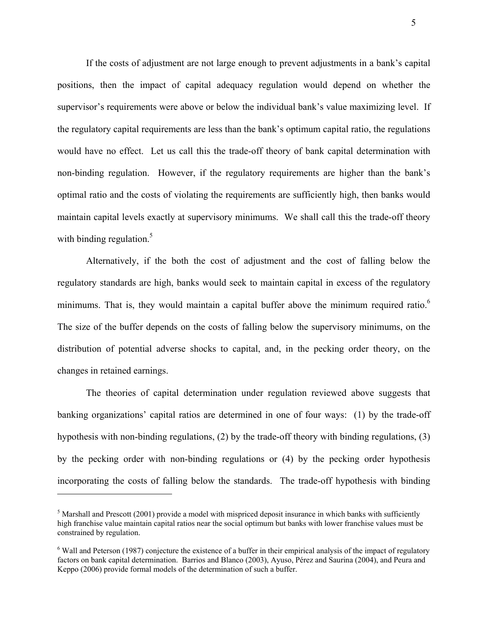If the costs of adjustment are not large enough to prevent adjustments in a bank's capital positions, then the impact of capital adequacy regulation would depend on whether the supervisor's requirements were above or below the individual bank's value maximizing level. If the regulatory capital requirements are less than the bank's optimum capital ratio, the regulations would have no effect. Let us call this the trade-off theory of bank capital determination with non-binding regulation. However, if the regulatory requirements are higher than the bank's optimal ratio and the costs of violating the requirements are sufficiently high, then banks would maintain capital levels exactly at supervisory minimums. We shall call this the trade-off theory with binding regulation. $5$ 

Alternatively, if the both the cost of adjustment and the cost of falling below the regulatory standards are high, banks would seek to maintain capital in excess of the regulatory minimums. That is, they would maintain a capital buffer above the minimum required ratio.<sup>6</sup> The size of the buffer depends on the costs of falling below the supervisory minimums, on the distribution of potential adverse shocks to capital, and, in the pecking order theory, on the changes in retained earnings.

The theories of capital determination under regulation reviewed above suggests that banking organizations' capital ratios are determined in one of four ways: (1) by the trade-off hypothesis with non-binding regulations, (2) by the trade-off theory with binding regulations, (3) by the pecking order with non-binding regulations or (4) by the pecking order hypothesis incorporating the costs of falling below the standards. The trade-off hypothesis with binding

1

 $<sup>5</sup>$  Marshall and Prescott (2001) provide a model with mispriced deposit insurance in which banks with sufficiently</sup> high franchise value maintain capital ratios near the social optimum but banks with lower franchise values must be constrained by regulation.

 $6$  Wall and Peterson (1987) conjecture the existence of a buffer in their empirical analysis of the impact of regulatory factors on bank capital determination. Barrios and Blanco (2003), Ayuso, Pérez and Saurina (2004), and Peura and Keppo (2006) provide formal models of the determination of such a buffer.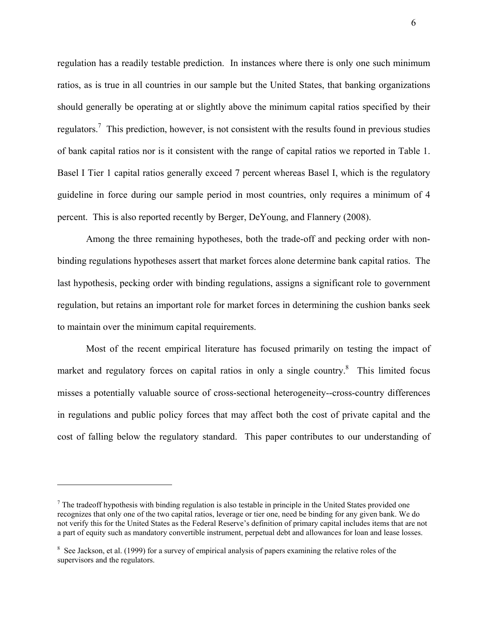regulation has a readily testable prediction. In instances where there is only one such minimum ratios, as is true in all countries in our sample but the United States, that banking organizations should generally be operating at or slightly above the minimum capital ratios specified by their regulators.<sup>7</sup> This prediction, however, is not consistent with the results found in previous studies of bank capital ratios nor is it consistent with the range of capital ratios we reported in Table 1. Basel I Tier 1 capital ratios generally exceed 7 percent whereas Basel I, which is the regulatory guideline in force during our sample period in most countries, only requires a minimum of 4 percent. This is also reported recently by Berger, DeYoung, and Flannery (2008).

Among the three remaining hypotheses, both the trade-off and pecking order with nonbinding regulations hypotheses assert that market forces alone determine bank capital ratios. The last hypothesis, pecking order with binding regulations, assigns a significant role to government regulation, but retains an important role for market forces in determining the cushion banks seek to maintain over the minimum capital requirements.

Most of the recent empirical literature has focused primarily on testing the impact of market and regulatory forces on capital ratios in only a single country. $\delta$  This limited focus misses a potentially valuable source of cross-sectional heterogeneity--cross-country differences in regulations and public policy forces that may affect both the cost of private capital and the cost of falling below the regulatory standard. This paper contributes to our understanding of

 $\overline{a}$ 

 $<sup>7</sup>$  The tradeoff hypothesis with binding regulation is also testable in principle in the United States provided one</sup> recognizes that only one of the two capital ratios, leverage or tier one, need be binding for any given bank. We do not verify this for the United States as the Federal Reserve's definition of primary capital includes items that are not a part of equity such as mandatory convertible instrument, perpetual debt and allowances for loan and lease losses.

<sup>&</sup>lt;sup>8</sup> See Jackson, et al. (1999) for a survey of empirical analysis of papers examining the relative roles of the supervisors and the regulators.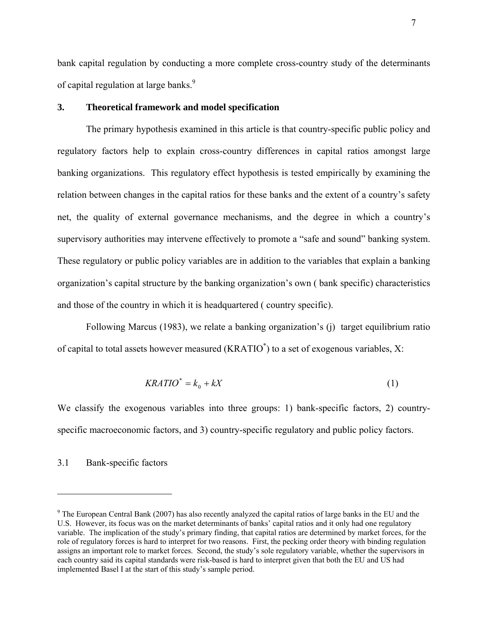bank capital regulation by conducting a more complete cross-country study of the determinants of capital regulation at large banks.<sup>9</sup>

#### **3. Theoretical framework and model specification**

The primary hypothesis examined in this article is that country-specific public policy and regulatory factors help to explain cross-country differences in capital ratios amongst large banking organizations. This regulatory effect hypothesis is tested empirically by examining the relation between changes in the capital ratios for these banks and the extent of a country's safety net, the quality of external governance mechanisms, and the degree in which a country's supervisory authorities may intervene effectively to promote a "safe and sound" banking system. These regulatory or public policy variables are in addition to the variables that explain a banking organization's capital structure by the banking organization's own ( bank specific) characteristics and those of the country in which it is headquartered ( country specific).

Following Marcus (1983), we relate a banking organization's (j) target equilibrium ratio of capital to total assets however measured  $(KRATIO<sup>*</sup>)$  to a set of exogenous variables, X:

$$
KRATIO^* = k_0 + kX \tag{1}
$$

We classify the exogenous variables into three groups: 1) bank-specific factors, 2) countryspecific macroeconomic factors, and 3) country-specific regulatory and public policy factors.

#### 3.1 Bank-specific factors

 $\overline{a}$ 

 $9$  The European Central Bank (2007) has also recently analyzed the capital ratios of large banks in the EU and the U.S. However, its focus was on the market determinants of banks' capital ratios and it only had one regulatory variable. The implication of the study's primary finding, that capital ratios are determined by market forces, for the role of regulatory forces is hard to interpret for two reasons. First, the pecking order theory with binding regulation assigns an important role to market forces. Second, the study's sole regulatory variable, whether the supervisors in each country said its capital standards were risk-based is hard to interpret given that both the EU and US had implemented Basel I at the start of this study's sample period.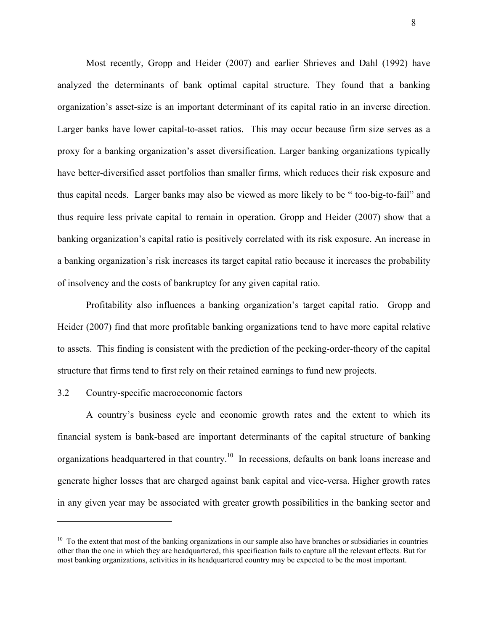Most recently, Gropp and Heider (2007) and earlier Shrieves and Dahl (1992) have analyzed the determinants of bank optimal capital structure. They found that a banking organization's asset-size is an important determinant of its capital ratio in an inverse direction. Larger banks have lower capital-to-asset ratios. This may occur because firm size serves as a proxy for a banking organization's asset diversification. Larger banking organizations typically have better-diversified asset portfolios than smaller firms, which reduces their risk exposure and thus capital needs. Larger banks may also be viewed as more likely to be " too-big-to-fail" and thus require less private capital to remain in operation. Gropp and Heider (2007) show that a banking organization's capital ratio is positively correlated with its risk exposure. An increase in a banking organization's risk increases its target capital ratio because it increases the probability of insolvency and the costs of bankruptcy for any given capital ratio.

Profitability also influences a banking organization's target capital ratio. Gropp and Heider (2007) find that more profitable banking organizations tend to have more capital relative to assets. This finding is consistent with the prediction of the pecking-order-theory of the capital structure that firms tend to first rely on their retained earnings to fund new projects.

#### 3.2 Country-specific macroeconomic factors

 $\overline{a}$ 

 A country's business cycle and economic growth rates and the extent to which its financial system is bank-based are important determinants of the capital structure of banking organizations headquartered in that country.<sup>10</sup> In recessions, defaults on bank loans increase and generate higher losses that are charged against bank capital and vice-versa. Higher growth rates in any given year may be associated with greater growth possibilities in the banking sector and

 $10$  To the extent that most of the banking organizations in our sample also have branches or subsidiaries in countries other than the one in which they are headquartered, this specification fails to capture all the relevant effects. But for most banking organizations, activities in its headquartered country may be expected to be the most important.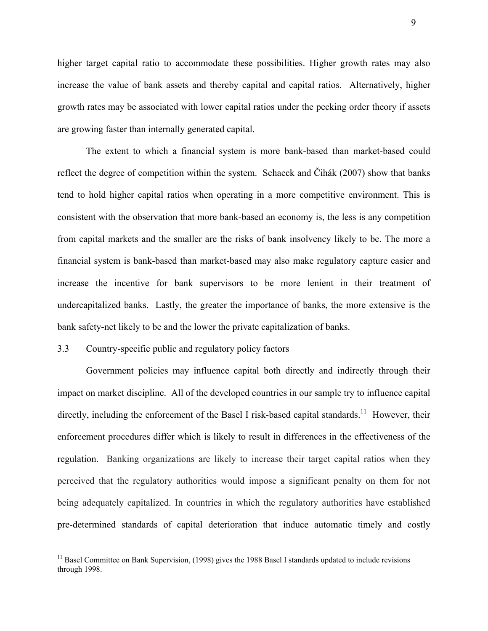higher target capital ratio to accommodate these possibilities. Higher growth rates may also increase the value of bank assets and thereby capital and capital ratios. Alternatively, higher growth rates may be associated with lower capital ratios under the pecking order theory if assets are growing faster than internally generated capital.

The extent to which a financial system is more bank-based than market-based could reflect the degree of competition within the system. Schaeck and Čihák (2007) show that banks tend to hold higher capital ratios when operating in a more competitive environment. This is consistent with the observation that more bank-based an economy is, the less is any competition from capital markets and the smaller are the risks of bank insolvency likely to be. The more a financial system is bank-based than market-based may also make regulatory capture easier and increase the incentive for bank supervisors to be more lenient in their treatment of undercapitalized banks. Lastly, the greater the importance of banks, the more extensive is the bank safety-net likely to be and the lower the private capitalization of banks.

#### 3.3 Country-specific public and regulatory policy factors

1

Government policies may influence capital both directly and indirectly through their impact on market discipline. All of the developed countries in our sample try to influence capital directly, including the enforcement of the Basel I risk-based capital standards.<sup>11</sup> However, their enforcement procedures differ which is likely to result in differences in the effectiveness of the regulation. Banking organizations are likely to increase their target capital ratios when they perceived that the regulatory authorities would impose a significant penalty on them for not being adequately capitalized. In countries in which the regulatory authorities have established pre-determined standards of capital deterioration that induce automatic timely and costly

<sup>&</sup>lt;sup>11</sup> Basel Committee on Bank Supervision, (1998) gives the 1988 Basel I standards updated to include revisions through 1998.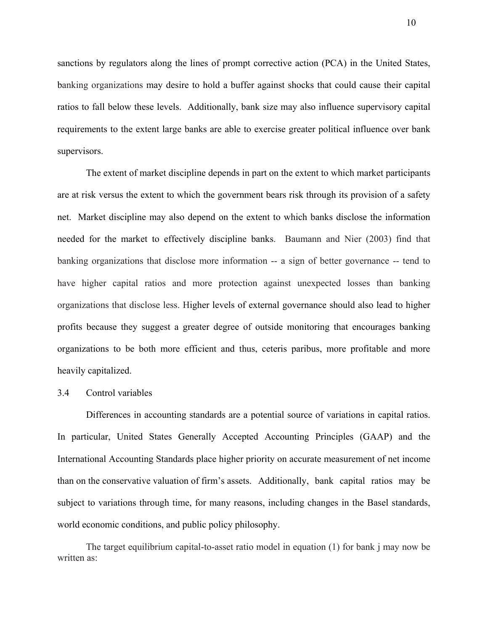sanctions by regulators along the lines of prompt corrective action (PCA) in the United States, banking organizations may desire to hold a buffer against shocks that could cause their capital ratios to fall below these levels. Additionally, bank size may also influence supervisory capital requirements to the extent large banks are able to exercise greater political influence over bank supervisors.

The extent of market discipline depends in part on the extent to which market participants are at risk versus the extent to which the government bears risk through its provision of a safety net. Market discipline may also depend on the extent to which banks disclose the information needed for the market to effectively discipline banks. Baumann and Nier (2003) find that banking organizations that disclose more information -- a sign of better governance -- tend to have higher capital ratios and more protection against unexpected losses than banking organizations that disclose less. Higher levels of external governance should also lead to higher profits because they suggest a greater degree of outside monitoring that encourages banking organizations to be both more efficient and thus, ceteris paribus, more profitable and more heavily capitalized.

#### 3.4 Control variables

Differences in accounting standards are a potential source of variations in capital ratios. In particular, United States Generally Accepted Accounting Principles (GAAP) and the International Accounting Standards place higher priority on accurate measurement of net income than on the conservative valuation of firm's assets. Additionally, bank capital ratios may be subject to variations through time, for many reasons, including changes in the Basel standards, world economic conditions, and public policy philosophy.

The target equilibrium capital-to-asset ratio model in equation (1) for bank j may now be written as: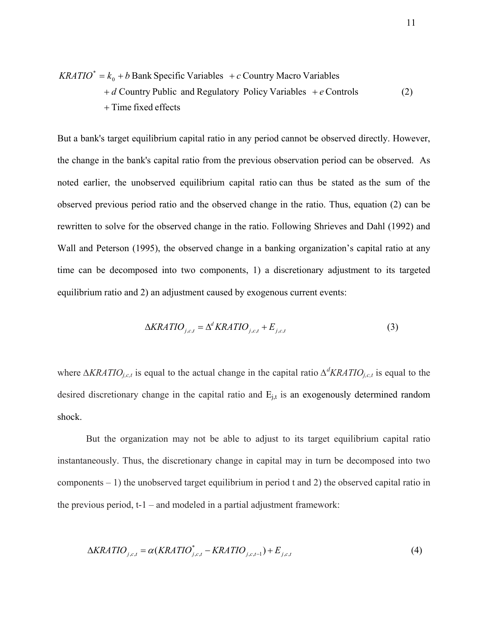$$
KRATIO^* = k_0 + b
$$
 Bank Specific Variables + *c* Country Macro Variables  
+ *d* Country Public and Regularory Policy Variables + *e* controls  
+ Time fixed effects (2)

But a bank's target equilibrium capital ratio in any period cannot be observed directly. However, the change in the bank's capital ratio from the previous observation period can be observed. As noted earlier, the unobserved equilibrium capital ratio can thus be stated as the sum of the observed previous period ratio and the observed change in the ratio. Thus, equation (2) can be rewritten to solve for the observed change in the ratio. Following Shrieves and Dahl (1992) and Wall and Peterson (1995), the observed change in a banking organization's capital ratio at any time can be decomposed into two components, 1) a discretionary adjustment to its targeted equilibrium ratio and 2) an adjustment caused by exogenous current events:

$$
\Delta KRATIO_{j,c,t} = \Delta^d KRATIO_{j,c,t} + E_{j,c,t} \tag{3}
$$

where *∆KRATIOj,c,t* is equal to the actual change in the capital ratio *∆<sup>d</sup> KRATIOj,c,t* is equal to the desired discretionary change in the capital ratio and  $E_{i,t}$  is an exogenously determined random shock.

 But the organization may not be able to adjust to its target equilibrium capital ratio instantaneously. Thus, the discretionary change in capital may in turn be decomposed into two components  $-1$ ) the unobserved target equilibrium in period t and 2) the observed capital ratio in the previous period,  $t-1$  – and modeled in a partial adjustment framework:

$$
\Delta KRATIO_{j,c,t} = \alpha (KRATIO_{j,c,t}^* - KRATIO_{j,c,t-1}) + E_{j,c,t}
$$
\n
$$
\tag{4}
$$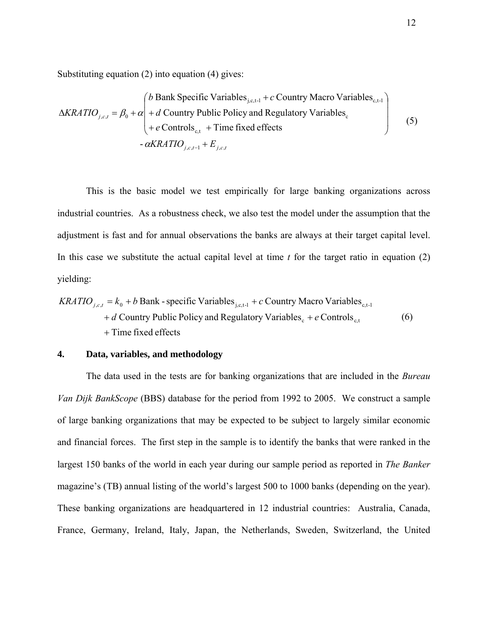Substituting equation (2) into equation (4) gives:

$$
\Delta KRATIO_{j,c,t} = \beta_0 + \alpha \begin{pmatrix} b \text{ Bank Specific Variables}_{j,c,t-1} + c \text{ Country Macro Variables}_{c,t-1} \\ + d \text{ Country Public Policy and Regularory Variables}_{c} \\ + e \text{ controls}_{c,t} + \text{Time fixed effects} \end{pmatrix}
$$
 (5)

This is the basic model we test empirically for large banking organizations across industrial countries. As a robustness check, we also test the model under the assumption that the adjustment is fast and for annual observations the banks are always at their target capital level. In this case we substitute the actual capital level at time *t* for the target ratio in equation (2) yielding:

$$
KRATIO_{j,c,t} = k_0 + b
$$
Bank-specific Variables<sub>j,c,t-1</sub> + c Country Macro Variables<sub>c,t-1</sub>  
+ d Country Public Policy and Regularory Variables<sub>c</sub> + e Controls<sub>c,t</sub> (6)  
+ Time fixed effects

#### **4. Data, variables, and methodology**

The data used in the tests are for banking organizations that are included in the *Bureau Van Dijk BankScope* (BBS) database for the period from 1992 to 2005. We construct a sample of large banking organizations that may be expected to be subject to largely similar economic and financial forces. The first step in the sample is to identify the banks that were ranked in the largest 150 banks of the world in each year during our sample period as reported in *The Banker* magazine's (TB) annual listing of the world's largest 500 to 1000 banks (depending on the year). These banking organizations are headquartered in 12 industrial countries: Australia, Canada, France, Germany, Ireland, Italy, Japan, the Netherlands, Sweden, Switzerland, the United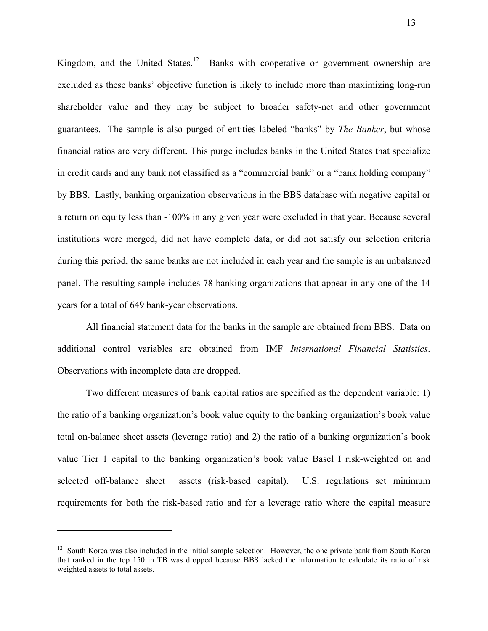Kingdom, and the United States.<sup>12</sup> Banks with cooperative or government ownership are excluded as these banks' objective function is likely to include more than maximizing long-run shareholder value and they may be subject to broader safety-net and other government guarantees. The sample is also purged of entities labeled "banks" by *The Banker*, but whose financial ratios are very different. This purge includes banks in the United States that specialize in credit cards and any bank not classified as a "commercial bank" or a "bank holding company" by BBS. Lastly, banking organization observations in the BBS database with negative capital or a return on equity less than -100% in any given year were excluded in that year. Because several institutions were merged, did not have complete data, or did not satisfy our selection criteria during this period, the same banks are not included in each year and the sample is an unbalanced panel. The resulting sample includes 78 banking organizations that appear in any one of the 14 years for a total of 649 bank-year observations.

 All financial statement data for the banks in the sample are obtained from BBS. Data on additional control variables are obtained from IMF *International Financial Statistics*. Observations with incomplete data are dropped.

Two different measures of bank capital ratios are specified as the dependent variable: 1) the ratio of a banking organization's book value equity to the banking organization's book value total on-balance sheet assets (leverage ratio) and 2) the ratio of a banking organization's book value Tier 1 capital to the banking organization's book value Basel I risk-weighted on and selected off-balance sheet assets (risk-based capital). U.S. regulations set minimum requirements for both the risk-based ratio and for a leverage ratio where the capital measure

 $\overline{a}$ 

<sup>&</sup>lt;sup>12</sup> South Korea was also included in the initial sample selection. However, the one private bank from South Korea that ranked in the top 150 in TB was dropped because BBS lacked the information to calculate its ratio of risk weighted assets to total assets.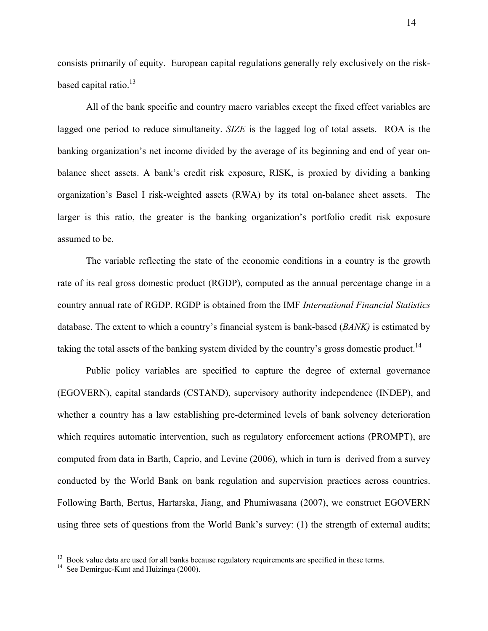consists primarily of equity. European capital regulations generally rely exclusively on the riskbased capital ratio.<sup>13</sup>

All of the bank specific and country macro variables except the fixed effect variables are lagged one period to reduce simultaneity. *SIZE* is the lagged log of total assets. ROA is the banking organization's net income divided by the average of its beginning and end of year onbalance sheet assets. A bank's credit risk exposure, RISK, is proxied by dividing a banking organization's Basel I risk-weighted assets (RWA) by its total on-balance sheet assets. The larger is this ratio, the greater is the banking organization's portfolio credit risk exposure assumed to be.

The variable reflecting the state of the economic conditions in a country is the growth rate of its real gross domestic product (RGDP), computed as the annual percentage change in a country annual rate of RGDP. RGDP is obtained from the IMF *International Financial Statistics* database. The extent to which a country's financial system is bank-based (*BANK)* is estimated by taking the total assets of the banking system divided by the country's gross domestic product.<sup>14</sup>

Public policy variables are specified to capture the degree of external governance (EGOVERN), capital standards (CSTAND), supervisory authority independence (INDEP), and whether a country has a law establishing pre-determined levels of bank solvency deterioration which requires automatic intervention, such as regulatory enforcement actions (PROMPT), are computed from data in Barth, Caprio, and Levine (2006), which in turn is derived from a survey conducted by the World Bank on bank regulation and supervision practices across countries. Following Barth, Bertus, Hartarska, Jiang, and Phumiwasana (2007), we construct EGOVERN using three sets of questions from the World Bank's survey: (1) the strength of external audits;

1

<sup>&</sup>lt;sup>13</sup> Book value data are used for all banks because regulatory requirements are specified in these terms.<br><sup>14</sup> See Demirguc-Kunt and Huizinga (2000).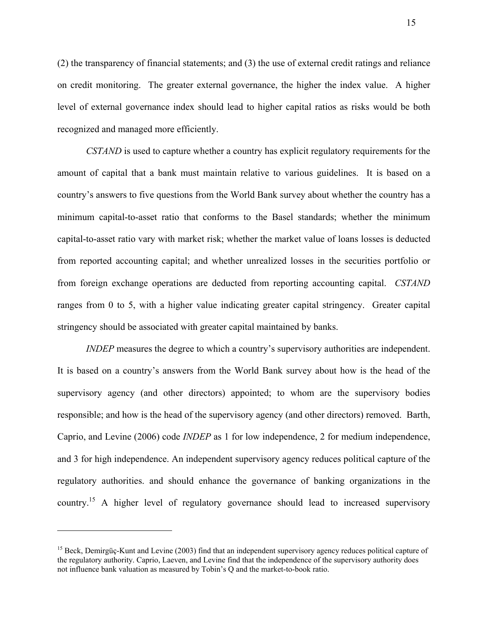(2) the transparency of financial statements; and (3) the use of external credit ratings and reliance on credit monitoring. The greater external governance, the higher the index value. A higher level of external governance index should lead to higher capital ratios as risks would be both recognized and managed more efficiently.

*CSTAND* is used to capture whether a country has explicit regulatory requirements for the amount of capital that a bank must maintain relative to various guidelines. It is based on a country's answers to five questions from the World Bank survey about whether the country has a minimum capital-to-asset ratio that conforms to the Basel standards; whether the minimum capital-to-asset ratio vary with market risk; whether the market value of loans losses is deducted from reported accounting capital; and whether unrealized losses in the securities portfolio or from foreign exchange operations are deducted from reporting accounting capital. *CSTAND* ranges from 0 to 5, with a higher value indicating greater capital stringency. Greater capital stringency should be associated with greater capital maintained by banks.

*INDEP* measures the degree to which a country's supervisory authorities are independent. It is based on a country's answers from the World Bank survey about how is the head of the supervisory agency (and other directors) appointed; to whom are the supervisory bodies responsible; and how is the head of the supervisory agency (and other directors) removed. Barth, Caprio, and Levine (2006) code *INDEP* as 1 for low independence, 2 for medium independence, and 3 for high independence. An independent supervisory agency reduces political capture of the regulatory authorities. and should enhance the governance of banking organizations in the country.<sup>15</sup> A higher level of regulatory governance should lead to increased supervisory

 $\overline{a}$ 

<sup>&</sup>lt;sup>15</sup> Beck, Demirgüç-Kunt and Levine (2003) find that an independent supervisory agency reduces political capture of the regulatory authority. Caprio, Laeven, and Levine find that the independence of the supervisory authority does not influence bank valuation as measured by Tobin's Q and the market-to-book ratio.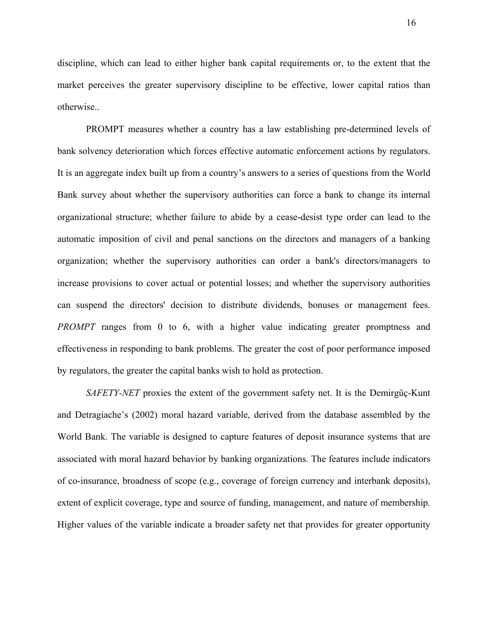discipline, which can lead to either higher bank capital requirements or, to the extent that the market perceives the greater supervisory discipline to be effective, lower capital ratios than otherwise..

PROMPT measures whether a country has a law establishing pre-determined levels of bank solvency deterioration which forces effective automatic enforcement actions by regulators. It is an aggregate index built up from a country's answers to a series of questions from the World Bank survey about whether the supervisory authorities can force a bank to change its internal organizational structure; whether failure to abide by a cease-desist type order can lead to the automatic imposition of civil and penal sanctions on the directors and managers of a banking organization; whether the supervisory authorities can order a bank's directors/managers to increase provisions to cover actual or potential losses; and whether the supervisory authorities can suspend the directors' decision to distribute dividends, bonuses or management fees. *PROMPT* ranges from 0 to 6, with a higher value indicating greater promptness and effectiveness in responding to bank problems. The greater the cost of poor performance imposed by regulators, the greater the capital banks wish to hold as protection.

*SAFETY-NET* proxies the extent of the government safety net. It is the Demirgüç-Kunt and Detragiache's (2002) moral hazard variable, derived from the database assembled by the World Bank. The variable is designed to capture features of deposit insurance systems that are associated with moral hazard behavior by banking organizations. The features include indicators of co-insurance, broadness of scope (e.g., coverage of foreign currency and interbank deposits), extent of explicit coverage, type and source of funding, management, and nature of membership. Higher values of the variable indicate a broader safety net that provides for greater opportunity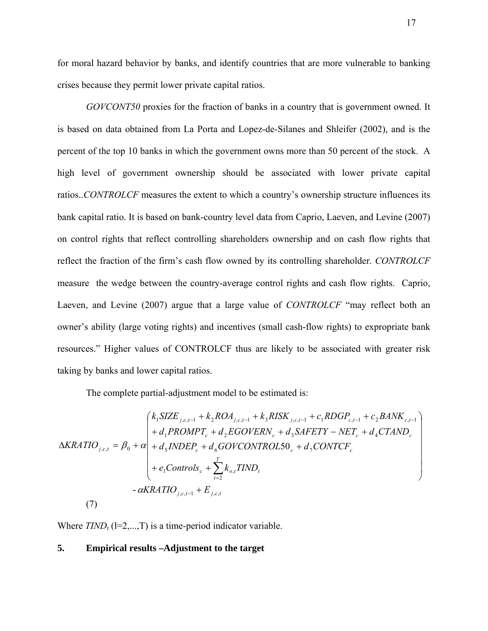for moral hazard behavior by banks, and identify countries that are more vulnerable to banking crises because they permit lower private capital ratios.

*GOVCONT50* proxies for the fraction of banks in a country that is government owned. It is based on data obtained from La Porta and Lopez-de-Silanes and Shleifer (2002), and is the percent of the top 10 banks in which the government owns more than 50 percent of the stock. A high level of government ownership should be associated with lower private capital ratios..*CONTROLCF* measures the extent to which a country's ownership structure influences its bank capital ratio. It is based on bank-country level data from Caprio, Laeven, and Levine (2007) on control rights that reflect controlling shareholders ownership and on cash flow rights that reflect the fraction of the firm's cash flow owned by its controlling shareholder. *CONTROLCF* measure the wedge between the country-average control rights and cash flow rights. Caprio, Laeven, and Levine (2007) argue that a large value of *CONTROLCF* "may reflect both an owner's ability (large voting rights) and incentives (small cash-flow rights) to expropriate bank resources." Higher values of CONTROLCF thus are likely to be associated with greater risk taking by banks and lower capital ratios.

The complete partial-adjustment model to be estimated is:

$$
\Delta KRATIO_{j,c,t} = \beta_0 + \alpha \begin{pmatrix} k_1 SIZE_{j,c,t-1} + k_2 ROA_{j,c,t-1} + k_3 RISK_{j,c,t-1} + c_1 RDGP_{c,t-1} + c_2 BANK_{c,t-1} \\ + d_1 PROMPT_c + d_2 EGOVERN_c + d_3SAFETY - NET_c + d_4 CTAND_c \\ + d_3 INDEP_c + d_6 GOVCONTROL50_c + d_7 CONTCF_c \\ + e_1 Controls_c + \sum_{t=2}^{T} k_{o,t} TIND_t \\ - \alpha KRATIO_{j,c,t-1} + E_{j,c,t} \end{pmatrix}
$$
\n(7)

Where  $TIND_t$  ( $I=2,...,T$ ) is a time-period indicator variable.

#### **5. Empirical results –Adjustment to the target**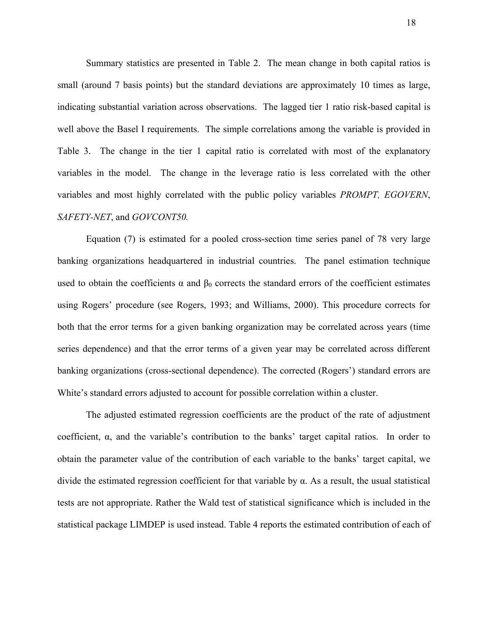Summary statistics are presented in Table 2. The mean change in both capital ratios is small (around 7 basis points) but the standard deviations are approximately 10 times as large, indicating substantial variation across observations. The lagged tier 1 ratio risk-based capital is well above the Basel I requirements. The simple correlations among the variable is provided in Table 3. The change in the tier 1 capital ratio is correlated with most of the explanatory variables in the model. The change in the leverage ratio is less correlated with the other variables and most highly correlated with the public policy variables *PROMPT, EGOVERN*, *SAFETY-NET*, and *GOVCONT50.*

 Equation (7) is estimated for a pooled cross-section time series panel of 78 very large banking organizations headquartered in industrial countries. The panel estimation technique used to obtain the coefficients  $\alpha$  and  $\beta_0$  corrects the standard errors of the coefficient estimates using Rogers' procedure (see Rogers, 1993; and Williams, 2000). This procedure corrects for both that the error terms for a given banking organization may be correlated across years (time series dependence) and that the error terms of a given year may be correlated across different banking organizations (cross-sectional dependence). The corrected (Rogers') standard errors are White's standard errors adjusted to account for possible correlation within a cluster.

 The adjusted estimated regression coefficients are the product of the rate of adjustment coefficient, α, and the variable's contribution to the banks' target capital ratios. In order to obtain the parameter value of the contribution of each variable to the banks' target capital, we divide the estimated regression coefficient for that variable by α. As a result, the usual statistical tests are not appropriate. Rather the Wald test of statistical significance which is included in the statistical package LIMDEP is used instead. Table 4 reports the estimated contribution of each of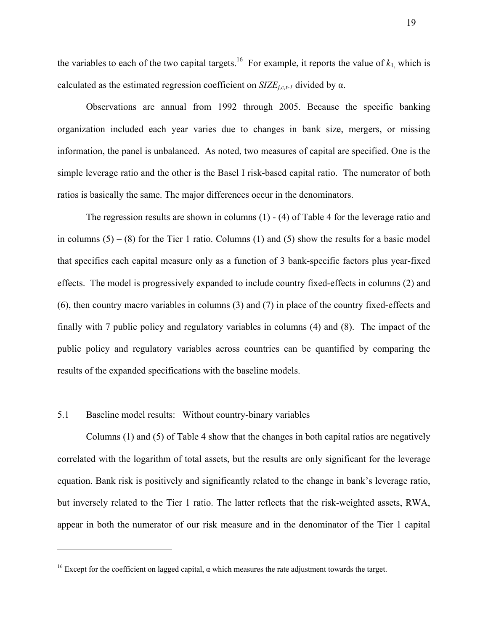the variables to each of the two capital targets.<sup>16</sup> For example, it reports the value of  $k_1$ , which is calculated as the estimated regression coefficient on  $SIZE<sub>i.c.t-1</sub>$  divided by  $\alpha$ .

 Observations are annual from 1992 through 2005. Because the specific banking organization included each year varies due to changes in bank size, mergers, or missing information, the panel is unbalanced. As noted, two measures of capital are specified. One is the simple leverage ratio and the other is the Basel I risk-based capital ratio. The numerator of both ratios is basically the same. The major differences occur in the denominators.

The regression results are shown in columns (1) - (4) of Table 4 for the leverage ratio and in columns  $(5) - (8)$  for the Tier 1 ratio. Columns  $(1)$  and  $(5)$  show the results for a basic model that specifies each capital measure only as a function of 3 bank-specific factors plus year-fixed effects. The model is progressively expanded to include country fixed-effects in columns (2) and (6), then country macro variables in columns (3) and (7) in place of the country fixed-effects and finally with 7 public policy and regulatory variables in columns (4) and (8). The impact of the public policy and regulatory variables across countries can be quantified by comparing the results of the expanded specifications with the baseline models.

#### 5.1 Baseline model results: Without country-binary variables

1

Columns (1) and (5) of Table 4 show that the changes in both capital ratios are negatively correlated with the logarithm of total assets, but the results are only significant for the leverage equation. Bank risk is positively and significantly related to the change in bank's leverage ratio, but inversely related to the Tier 1 ratio. The latter reflects that the risk-weighted assets, RWA, appear in both the numerator of our risk measure and in the denominator of the Tier 1 capital

<sup>&</sup>lt;sup>16</sup> Except for the coefficient on lagged capital,  $\alpha$  which measures the rate adjustment towards the target.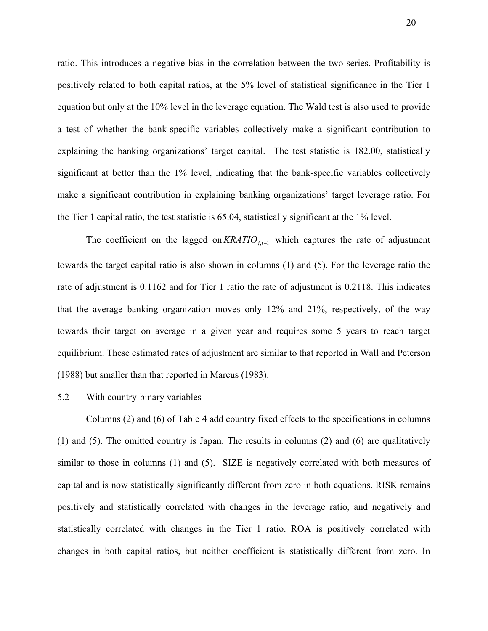ratio. This introduces a negative bias in the correlation between the two series. Profitability is positively related to both capital ratios, at the 5% level of statistical significance in the Tier 1 equation but only at the 10% level in the leverage equation. The Wald test is also used to provide a test of whether the bank-specific variables collectively make a significant contribution to explaining the banking organizations' target capital. The test statistic is 182.00, statistically significant at better than the 1% level, indicating that the bank-specific variables collectively make a significant contribution in explaining banking organizations' target leverage ratio. For the Tier 1 capital ratio, the test statistic is 65.04, statistically significant at the 1% level.

The coefficient on the lagged on *KRATIO<sub>it−1</sub>* which captures the rate of adjustment towards the target capital ratio is also shown in columns (1) and (5). For the leverage ratio the rate of adjustment is 0.1162 and for Tier 1 ratio the rate of adjustment is 0.2118. This indicates that the average banking organization moves only 12% and 21%, respectively, of the way towards their target on average in a given year and requires some 5 years to reach target equilibrium. These estimated rates of adjustment are similar to that reported in Wall and Peterson (1988) but smaller than that reported in Marcus (1983).

#### 5.2 With country-binary variables

Columns (2) and (6) of Table 4 add country fixed effects to the specifications in columns (1) and (5). The omitted country is Japan. The results in columns (2) and (6) are qualitatively similar to those in columns (1) and (5). SIZE is negatively correlated with both measures of capital and is now statistically significantly different from zero in both equations. RISK remains positively and statistically correlated with changes in the leverage ratio, and negatively and statistically correlated with changes in the Tier 1 ratio. ROA is positively correlated with changes in both capital ratios, but neither coefficient is statistically different from zero. In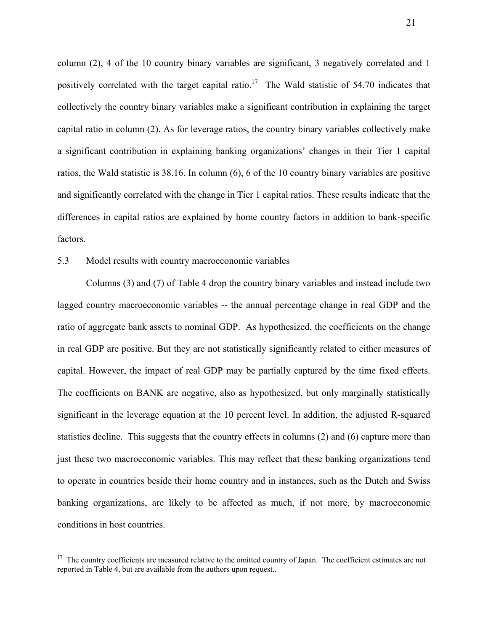column (2), 4 of the 10 country binary variables are significant, 3 negatively correlated and 1 positively correlated with the target capital ratio.<sup>17</sup> The Wald statistic of 54.70 indicates that collectively the country binary variables make a significant contribution in explaining the target capital ratio in column (2). As for leverage ratios, the country binary variables collectively make a significant contribution in explaining banking organizations' changes in their Tier 1 capital ratios, the Wald statistic is 38.16. In column (6), 6 of the 10 country binary variables are positive and significantly correlated with the change in Tier 1 capital ratios. These results indicate that the differences in capital ratios are explained by home country factors in addition to bank-specific factors.

#### 5.3 Model results with country macroeconomic variables

 $\overline{a}$ 

Columns (3) and (7) of Table 4 drop the country binary variables and instead include two lagged country macroeconomic variables -- the annual percentage change in real GDP and the ratio of aggregate bank assets to nominal GDP. As hypothesized, the coefficients on the change in real GDP are positive. But they are not statistically significantly related to either measures of capital. However, the impact of real GDP may be partially captured by the time fixed effects. The coefficients on BANK are negative, also as hypothesized, but only marginally statistically significant in the leverage equation at the 10 percent level. In addition, the adjusted R-squared statistics decline. This suggests that the country effects in columns (2) and (6) capture more than just these two macroeconomic variables. This may reflect that these banking organizations tend to operate in countries beside their home country and in instances, such as the Dutch and Swiss banking organizations, are likely to be affected as much, if not more, by macroeconomic conditions in host countries.

<sup>&</sup>lt;sup>17</sup> The country coefficients are measured relative to the omitted country of Japan. The coefficient estimates are not reported in Table 4, but are available from the authors upon request..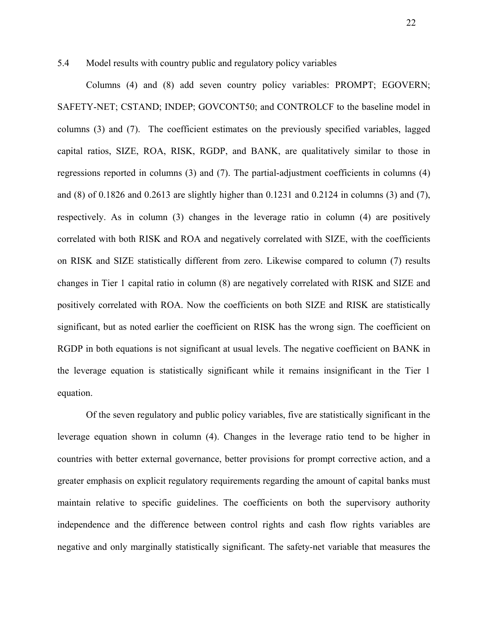#### 5.4 Model results with country public and regulatory policy variables

Columns (4) and (8) add seven country policy variables: PROMPT; EGOVERN; SAFETY-NET; CSTAND; INDEP; GOVCONT50; and CONTROLCF to the baseline model in columns (3) and (7). The coefficient estimates on the previously specified variables, lagged capital ratios, SIZE, ROA, RISK, RGDP, and BANK, are qualitatively similar to those in regressions reported in columns (3) and (7). The partial-adjustment coefficients in columns (4) and (8) of 0.1826 and 0.2613 are slightly higher than 0.1231 and 0.2124 in columns (3) and (7), respectively. As in column (3) changes in the leverage ratio in column (4) are positively correlated with both RISK and ROA and negatively correlated with SIZE, with the coefficients on RISK and SIZE statistically different from zero. Likewise compared to column (7) results changes in Tier 1 capital ratio in column (8) are negatively correlated with RISK and SIZE and positively correlated with ROA. Now the coefficients on both SIZE and RISK are statistically significant, but as noted earlier the coefficient on RISK has the wrong sign. The coefficient on RGDP in both equations is not significant at usual levels. The negative coefficient on BANK in the leverage equation is statistically significant while it remains insignificant in the Tier 1 equation.

Of the seven regulatory and public policy variables, five are statistically significant in the leverage equation shown in column (4). Changes in the leverage ratio tend to be higher in countries with better external governance, better provisions for prompt corrective action, and a greater emphasis on explicit regulatory requirements regarding the amount of capital banks must maintain relative to specific guidelines. The coefficients on both the supervisory authority independence and the difference between control rights and cash flow rights variables are negative and only marginally statistically significant. The safety-net variable that measures the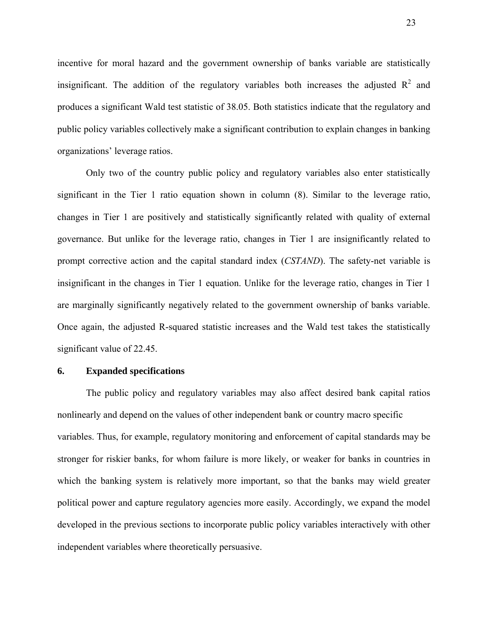incentive for moral hazard and the government ownership of banks variable are statistically insignificant. The addition of the regulatory variables both increases the adjusted  $\mathbb{R}^2$  and produces a significant Wald test statistic of 38.05. Both statistics indicate that the regulatory and public policy variables collectively make a significant contribution to explain changes in banking organizations' leverage ratios.

Only two of the country public policy and regulatory variables also enter statistically significant in the Tier 1 ratio equation shown in column (8). Similar to the leverage ratio, changes in Tier 1 are positively and statistically significantly related with quality of external governance. But unlike for the leverage ratio, changes in Tier 1 are insignificantly related to prompt corrective action and the capital standard index (*CSTAND*). The safety-net variable is insignificant in the changes in Tier 1 equation. Unlike for the leverage ratio, changes in Tier 1 are marginally significantly negatively related to the government ownership of banks variable. Once again, the adjusted R-squared statistic increases and the Wald test takes the statistically significant value of 22.45.

#### **6. Expanded specifications**

 The public policy and regulatory variables may also affect desired bank capital ratios nonlinearly and depend on the values of other independent bank or country macro specific variables. Thus, for example, regulatory monitoring and enforcement of capital standards may be stronger for riskier banks, for whom failure is more likely, or weaker for banks in countries in which the banking system is relatively more important, so that the banks may wield greater political power and capture regulatory agencies more easily. Accordingly, we expand the model developed in the previous sections to incorporate public policy variables interactively with other independent variables where theoretically persuasive.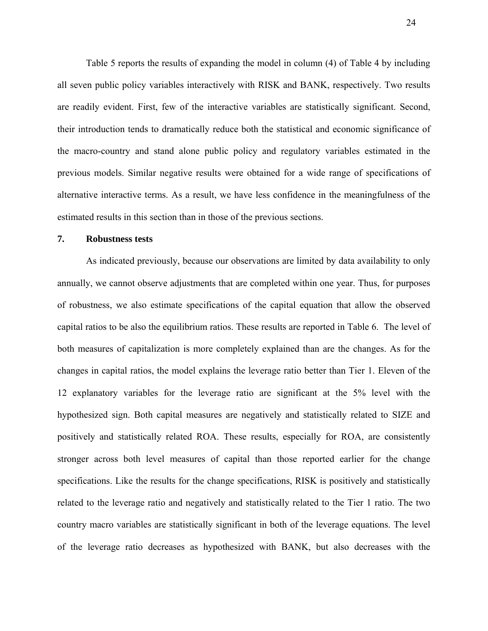Table 5 reports the results of expanding the model in column (4) of Table 4 by including all seven public policy variables interactively with RISK and BANK, respectively. Two results are readily evident. First, few of the interactive variables are statistically significant. Second, their introduction tends to dramatically reduce both the statistical and economic significance of the macro-country and stand alone public policy and regulatory variables estimated in the previous models. Similar negative results were obtained for a wide range of specifications of alternative interactive terms. As a result, we have less confidence in the meaningfulness of the estimated results in this section than in those of the previous sections.

#### **7. Robustness tests**

As indicated previously, because our observations are limited by data availability to only annually, we cannot observe adjustments that are completed within one year. Thus, for purposes of robustness, we also estimate specifications of the capital equation that allow the observed capital ratios to be also the equilibrium ratios. These results are reported in Table 6. The level of both measures of capitalization is more completely explained than are the changes. As for the changes in capital ratios, the model explains the leverage ratio better than Tier 1. Eleven of the 12 explanatory variables for the leverage ratio are significant at the 5% level with the hypothesized sign. Both capital measures are negatively and statistically related to SIZE and positively and statistically related ROA. These results, especially for ROA, are consistently stronger across both level measures of capital than those reported earlier for the change specifications. Like the results for the change specifications, RISK is positively and statistically related to the leverage ratio and negatively and statistically related to the Tier 1 ratio. The two country macro variables are statistically significant in both of the leverage equations. The level of the leverage ratio decreases as hypothesized with BANK, but also decreases with the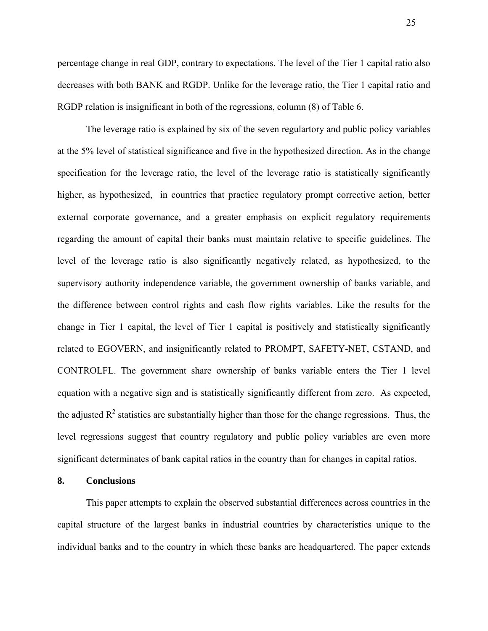percentage change in real GDP, contrary to expectations. The level of the Tier 1 capital ratio also decreases with both BANK and RGDP. Unlike for the leverage ratio, the Tier 1 capital ratio and RGDP relation is insignificant in both of the regressions, column (8) of Table 6.

The leverage ratio is explained by six of the seven regulartory and public policy variables at the 5% level of statistical significance and five in the hypothesized direction. As in the change specification for the leverage ratio, the level of the leverage ratio is statistically significantly higher, as hypothesized, in countries that practice regulatory prompt corrective action, better external corporate governance, and a greater emphasis on explicit regulatory requirements regarding the amount of capital their banks must maintain relative to specific guidelines. The level of the leverage ratio is also significantly negatively related, as hypothesized, to the supervisory authority independence variable, the government ownership of banks variable, and the difference between control rights and cash flow rights variables. Like the results for the change in Tier 1 capital, the level of Tier 1 capital is positively and statistically significantly related to EGOVERN, and insignificantly related to PROMPT, SAFETY-NET, CSTAND, and CONTROLFL. The government share ownership of banks variable enters the Tier 1 level equation with a negative sign and is statistically significantly different from zero. As expected, the adjusted  $R^2$  statistics are substantially higher than those for the change regressions. Thus, the level regressions suggest that country regulatory and public policy variables are even more significant determinates of bank capital ratios in the country than for changes in capital ratios.

#### **8. Conclusions**

 This paper attempts to explain the observed substantial differences across countries in the capital structure of the largest banks in industrial countries by characteristics unique to the individual banks and to the country in which these banks are headquartered. The paper extends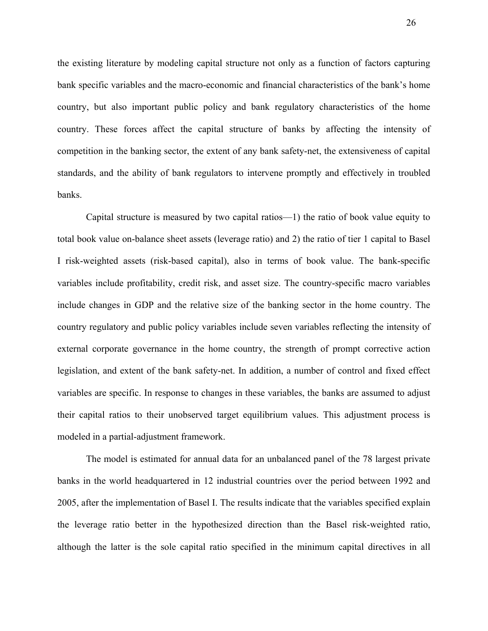the existing literature by modeling capital structure not only as a function of factors capturing bank specific variables and the macro-economic and financial characteristics of the bank's home country, but also important public policy and bank regulatory characteristics of the home country. These forces affect the capital structure of banks by affecting the intensity of competition in the banking sector, the extent of any bank safety-net, the extensiveness of capital standards, and the ability of bank regulators to intervene promptly and effectively in troubled banks.

 Capital structure is measured by two capital ratios—1) the ratio of book value equity to total book value on-balance sheet assets (leverage ratio) and 2) the ratio of tier 1 capital to Basel I risk-weighted assets (risk-based capital), also in terms of book value. The bank-specific variables include profitability, credit risk, and asset size. The country-specific macro variables include changes in GDP and the relative size of the banking sector in the home country. The country regulatory and public policy variables include seven variables reflecting the intensity of external corporate governance in the home country, the strength of prompt corrective action legislation, and extent of the bank safety-net. In addition, a number of control and fixed effect variables are specific. In response to changes in these variables, the banks are assumed to adjust their capital ratios to their unobserved target equilibrium values. This adjustment process is modeled in a partial-adjustment framework.

The model is estimated for annual data for an unbalanced panel of the 78 largest private banks in the world headquartered in 12 industrial countries over the period between 1992 and 2005, after the implementation of Basel I. The results indicate that the variables specified explain the leverage ratio better in the hypothesized direction than the Basel risk-weighted ratio, although the latter is the sole capital ratio specified in the minimum capital directives in all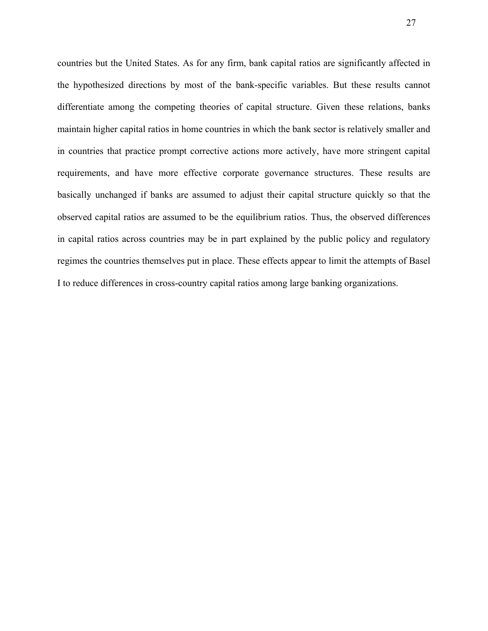countries but the United States. As for any firm, bank capital ratios are significantly affected in the hypothesized directions by most of the bank-specific variables. But these results cannot differentiate among the competing theories of capital structure. Given these relations, banks maintain higher capital ratios in home countries in which the bank sector is relatively smaller and in countries that practice prompt corrective actions more actively, have more stringent capital requirements, and have more effective corporate governance structures. These results are basically unchanged if banks are assumed to adjust their capital structure quickly so that the observed capital ratios are assumed to be the equilibrium ratios. Thus, the observed differences in capital ratios across countries may be in part explained by the public policy and regulatory regimes the countries themselves put in place. These effects appear to limit the attempts of Basel I to reduce differences in cross-country capital ratios among large banking organizations.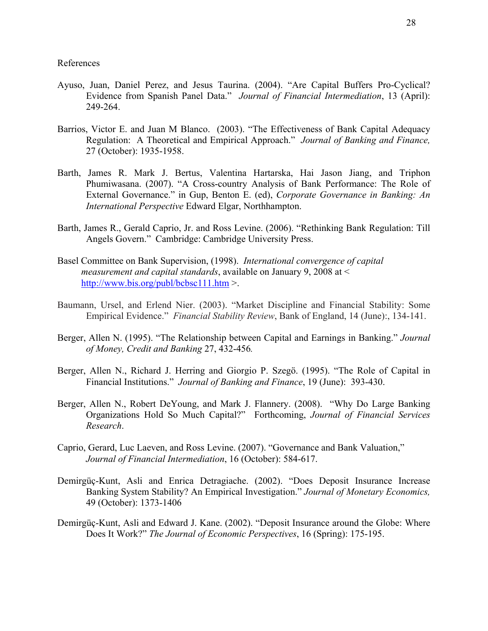- Ayuso, Juan, Daniel Perez, and Jesus Taurina. (2004). "Are Capital Buffers Pro-Cyclical? Evidence from Spanish Panel Data." *Journal of Financial Intermediation*, 13 (April): 249-264.
- Barrios, Victor E. and Juan M Blanco. (2003). "The Effectiveness of Bank Capital Adequacy Regulation: A Theoretical and Empirical Approach." *Journal of Banking and Finance,* 27 (October): 1935-1958.
- Barth, James R. Mark J. Bertus, Valentina Hartarska, Hai Jason Jiang, and Triphon Phumiwasana. (2007). "A Cross-country Analysis of Bank Performance: The Role of External Governance." in Gup, Benton E. (ed), *Corporate Governance in Banking: An International Perspective* Edward Elgar, Northhampton.
- Barth, James R., Gerald Caprio, Jr. and Ross Levine. (2006). "Rethinking Bank Regulation: Till Angels Govern." Cambridge: Cambridge University Press.
- Basel Committee on Bank Supervision, (1998). *International convergence of capital measurement and capital standards*, available on January 9, 2008 at < http://www.bis.org/publ/bcbsc111.htm >.
- Baumann, Ursel, and Erlend Nier. (2003). "Market Discipline and Financial Stability: Some Empirical Evidence." *Financial Stability Review*, Bank of England, 14 (June):, 134-141.
- Berger, Allen N. (1995). "The Relationship between Capital and Earnings in Banking." *Journal of Money, Credit and Banking* 27, 432-456*.*
- Berger, Allen N., Richard J. Herring and Giorgio P. Szegö. (1995). "The Role of Capital in Financial Institutions." *Journal of Banking and Finance*, 19 (June): 393-430.
- Berger, Allen N., Robert DeYoung, and Mark J. Flannery. (2008). "Why Do Large Banking Organizations Hold So Much Capital?" Forthcoming, *Journal of Financial Services Research*.
- Caprio, Gerard, Luc Laeven, and Ross Levine. (2007). "Governance and Bank Valuation," *Journal of Financial Intermediation*, 16 (October): 584-617.
- Demirgüç-Kunt, Asli and Enrica Detragiache. (2002). "Does Deposit Insurance Increase Banking System Stability? An Empirical Investigation." *Journal of Monetary Economics,*  49 (October): 1373-1406
- Demirgüç-Kunt, Asli and Edward J. Kane. (2002). "Deposit Insurance around the Globe: Where Does It Work?" *The Journal of Economic Perspectives*, 16 (Spring): 175-195.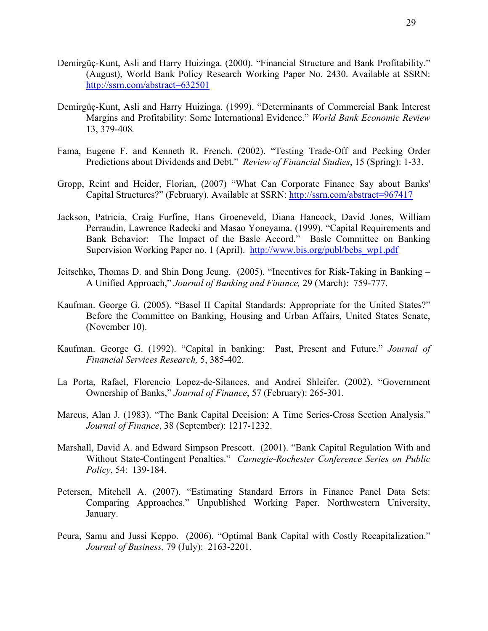- Demirgüç-Kunt, Asli and Harry Huizinga. (2000). "Financial Structure and Bank Profitability." (August), World Bank Policy Research Working Paper No. 2430. Available at SSRN: http://ssrn.com/abstract=632501
- Demirgüç-Kunt, Asli and Harry Huizinga. (1999). "Determinants of Commercial Bank Interest Margins and Profitability: Some International Evidence." *World Bank Economic Review*  13, 379-408*.*
- Fama, Eugene F. and Kenneth R. French. (2002). "Testing Trade-Off and Pecking Order Predictions about Dividends and Debt." *Review of Financial Studies*, 15 (Spring): 1-33.
- Gropp, Reint and Heider, Florian, (2007) "What Can Corporate Finance Say about Banks' Capital Structures?" (February). Available at SSRN: http://ssrn.com/abstract=967417
- Jackson, Patricia, Craig Furfine, Hans Groeneveld, Diana Hancock, David Jones, William Perraudin, Lawrence Radecki and Masao Yoneyama. (1999). "Capital Requirements and Bank Behavior: The Impact of the Basle Accord." Basle Committee on Banking Supervision Working Paper no. 1 (April). http://www.bis.org/publ/bcbs\_wp1.pdf
- Jeitschko, Thomas D. and Shin Dong Jeung. (2005). "Incentives for Risk-Taking in Banking A Unified Approach," *Journal of Banking and Finance,* 29 (March): 759-777.
- Kaufman. George G. (2005). "Basel II Capital Standards: Appropriate for the United States?" Before the Committee on Banking, Housing and Urban Affairs, United States Senate, (November 10).
- Kaufman. George G. (1992). "Capital in banking: Past, Present and Future." *Journal of Financial Services Research,* 5, 385-402*.*
- La Porta, Rafael, Florencio Lopez-de-Silances, and Andrei Shleifer. (2002). "Government Ownership of Banks," *Journal of Finance*, 57 (February): 265-301.
- Marcus, Alan J. (1983). "The Bank Capital Decision: A Time Series-Cross Section Analysis." *Journal of Finance*, 38 (September): 1217-1232.
- Marshall, David A. and Edward Simpson Prescott. (2001). "Bank Capital Regulation With and Without State-Contingent Penalties." *Carnegie-Rochester Conference Series on Public Policy*, 54: 139-184.
- Petersen, Mitchell A. (2007). "Estimating Standard Errors in Finance Panel Data Sets: Comparing Approaches." Unpublished Working Paper. Northwestern University, January.
- Peura, Samu and Jussi Keppo. (2006). "Optimal Bank Capital with Costly Recapitalization." *Journal of Business,* 79 (July): 2163-2201.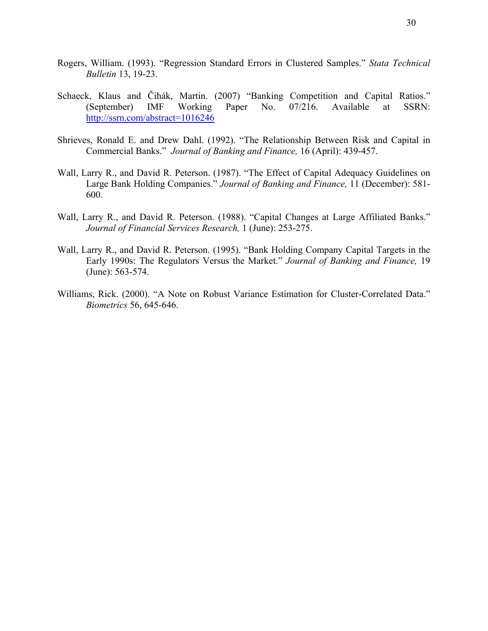- Rogers, William. (1993). "Regression Standard Errors in Clustered Samples." *Stata Technical Bulletin* 13, 19-23.
- Schaeck, Klaus and Čihák, Martin. (2007) "Banking Competition and Capital Ratios."<br>
(September) IMF Working Paper No. 07/216. Available at SSRN: (September) IMF Working Paper No. 07/216. Available at SSRN: http://ssrn.com/abstract=1016246
- Shrieves, Ronald E. and Drew Dahl. (1992). "The Relationship Between Risk and Capital in Commercial Banks." *Journal of Banking and Finance,* 16 (April): 439-457.
- Wall, Larry R., and David R. Peterson. (1987). "The Effect of Capital Adequacy Guidelines on Large Bank Holding Companies." *Journal of Banking and Finance,* 11 (December): 581- 600.
- Wall, Larry R., and David R. Peterson. (1988). "Capital Changes at Large Affiliated Banks." *Journal of Financial Services Research,* 1 (June): 253-275.
- Wall, Larry R., and David R. Peterson. (1995). "Bank Holding Company Capital Targets in the Early 1990s: The Regulators Versus the Market." *Journal of Banking and Finance,* 19 (June): 563-574.
- Williams, Rick. (2000). "A Note on Robust Variance Estimation for Cluster-Correlated Data." *Biometrics* 56, 645-646.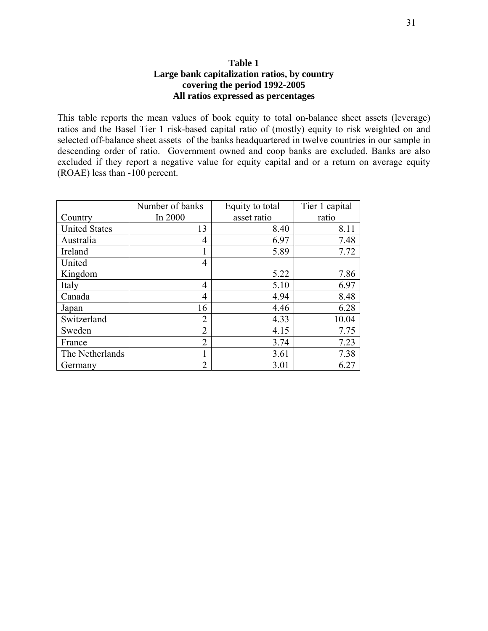#### **Table 1 Large bank capitalization ratios, by country covering the period 1992-2005 All ratios expressed as percentages**

This table reports the mean values of book equity to total on-balance sheet assets (leverage) ratios and the Basel Tier 1 risk-based capital ratio of (mostly) equity to risk weighted on and selected off-balance sheet assets of the banks headquartered in twelve countries in our sample in descending order of ratio. Government owned and coop banks are excluded. Banks are also excluded if they report a negative value for equity capital and or a return on average equity (ROAE) less than -100 percent.

|                      | Number of banks | Equity to total | Tier 1 capital |  |  |
|----------------------|-----------------|-----------------|----------------|--|--|
| Country              | In 2000         | asset ratio     | ratio          |  |  |
| <b>United States</b> | 13              | 8.40            | 8.11           |  |  |
| Australia            | $\overline{4}$  | 6.97            | 7.48           |  |  |
| Ireland              | 1               | 5.89            | 7.72           |  |  |
| United               | $\overline{4}$  |                 |                |  |  |
| Kingdom              |                 | 5.22            | 7.86           |  |  |
| Italy                | $\overline{4}$  | 5.10            | 6.97           |  |  |
| Canada               | $\overline{4}$  | 4.94            | 8.48           |  |  |
| Japan                | 16              | 4.46            | 6.28           |  |  |
| Switzerland          | $\overline{2}$  | 4.33            | 10.04          |  |  |
| Sweden               | $\overline{2}$  | 4.15            | 7.75           |  |  |
| France               | $\overline{2}$  | 3.74            | 7.23           |  |  |
| The Netherlands      |                 | 3.61            | 7.38           |  |  |
| Germany              | $\overline{2}$  | 3.01            | 6.27           |  |  |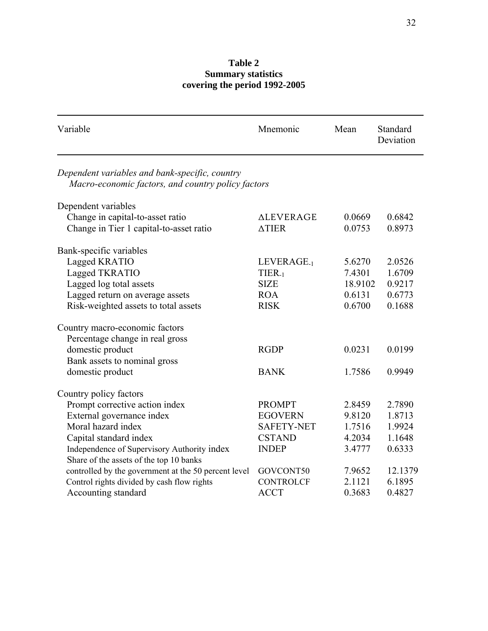#### **Table 2 Summary statistics covering the period 1992-2005**

| Variable                                                                                             | Mnemonic          | Mean    | Standard<br>Deviation |  |  |  |  |  |  |  |  |  |
|------------------------------------------------------------------------------------------------------|-------------------|---------|-----------------------|--|--|--|--|--|--|--|--|--|
| Dependent variables and bank-specific, country<br>Macro-economic factors, and country policy factors |                   |         |                       |  |  |  |  |  |  |  |  |  |
|                                                                                                      |                   |         |                       |  |  |  |  |  |  |  |  |  |
| Dependent variables                                                                                  |                   |         |                       |  |  |  |  |  |  |  |  |  |
| Change in capital-to-asset ratio                                                                     | <b>ALEVERAGE</b>  | 0.0669  | 0.6842                |  |  |  |  |  |  |  |  |  |
| Change in Tier 1 capital-to-asset ratio                                                              | <b>ATIER</b>      | 0.0753  | 0.8973                |  |  |  |  |  |  |  |  |  |
| Bank-specific variables                                                                              |                   |         |                       |  |  |  |  |  |  |  |  |  |
| Lagged KRATIO                                                                                        | LEVERAGE.         | 5.6270  | 2.0526                |  |  |  |  |  |  |  |  |  |
| Lagged TKRATIO                                                                                       | $TIER-1$          | 7.4301  | 1.6709                |  |  |  |  |  |  |  |  |  |
| Lagged log total assets                                                                              | <b>SIZE</b>       | 18.9102 | 0.9217                |  |  |  |  |  |  |  |  |  |
| Lagged return on average assets                                                                      | <b>ROA</b>        | 0.6131  | 0.6773                |  |  |  |  |  |  |  |  |  |
| Risk-weighted assets to total assets                                                                 | <b>RISK</b>       | 0.6700  | 0.1688                |  |  |  |  |  |  |  |  |  |
| Country macro-economic factors                                                                       |                   |         |                       |  |  |  |  |  |  |  |  |  |
| Percentage change in real gross                                                                      |                   |         |                       |  |  |  |  |  |  |  |  |  |
| domestic product                                                                                     | <b>RGDP</b>       | 0.0231  | 0.0199                |  |  |  |  |  |  |  |  |  |
| Bank assets to nominal gross                                                                         |                   |         |                       |  |  |  |  |  |  |  |  |  |
| domestic product                                                                                     | <b>BANK</b>       | 1.7586  | 0.9949                |  |  |  |  |  |  |  |  |  |
| Country policy factors                                                                               |                   |         |                       |  |  |  |  |  |  |  |  |  |
| Prompt corrective action index                                                                       | <b>PROMPT</b>     | 2.8459  | 2.7890                |  |  |  |  |  |  |  |  |  |
| External governance index                                                                            | <b>EGOVERN</b>    | 9.8120  | 1.8713                |  |  |  |  |  |  |  |  |  |
| Moral hazard index                                                                                   | <b>SAFETY-NET</b> | 1.7516  | 1.9924                |  |  |  |  |  |  |  |  |  |
| Capital standard index                                                                               | <b>CSTAND</b>     | 4.2034  | 1.1648                |  |  |  |  |  |  |  |  |  |
| Independence of Supervisory Authority index                                                          | <b>INDEP</b>      | 3.4777  | 0.6333                |  |  |  |  |  |  |  |  |  |
| Share of the assets of the top 10 banks                                                              |                   |         |                       |  |  |  |  |  |  |  |  |  |
| controlled by the government at the 50 percent level                                                 | GOVCONT50         | 7.9652  | 12.1379               |  |  |  |  |  |  |  |  |  |
| Control rights divided by cash flow rights                                                           | <b>CONTROLCF</b>  | 2.1121  | 6.1895                |  |  |  |  |  |  |  |  |  |
| Accounting standard                                                                                  | <b>ACCT</b>       | 0.3683  | 0.4827                |  |  |  |  |  |  |  |  |  |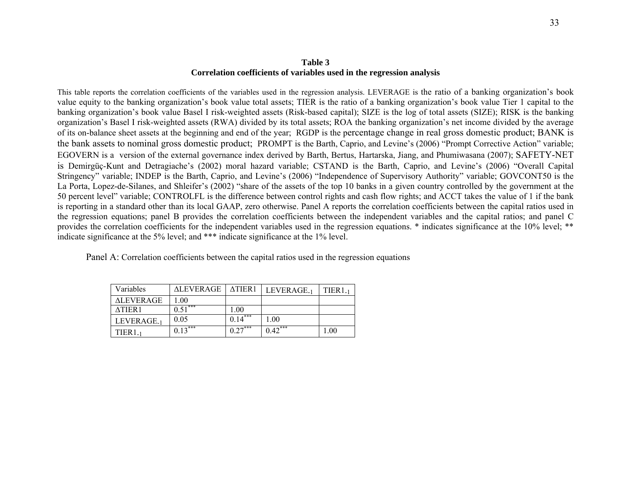#### **Table 3 Correlation coefficients of variables used in the regression analysis**

This table reports the correlation coefficients of the variables used in the regression analysis. LEVERAGE is the ratio of a banking organization's book value equity to the banking organization's book value total assets; TIER is the ratio of a banking organization's book value Tier 1 capital to the banking organization's book value Basel I risk-weighted assets (Risk-based capital); SIZE is the log of total assets (SIZE); RISK is the banking organization's Basel I risk-weighted assets (RWA) divided by its total assets; ROA the banking organization's net income divided by the average of its on-balance sheet assets at the beginning and end of the year; RGDP is the percentage change in real gross domestic product; BANK is the bank assets to nominal gross domestic product; PROMPT is the Barth, Caprio, and Levine's (2006) "Prompt Corrective Action" variable; EGOVERN is a version of the external governance index derived by Barth, Bertus, Hartarska, Jiang, and Phumiwasana (2007); SAFETY-NET is Demirgüç-Kunt and Detragiache's (2002) moral hazard variable; CSTAND is the Barth, Caprio, and Levine's (2006) "Overall Capital Stringency" variable; INDEP is the Barth, Caprio, and Levine's (2006) "Independence of Supervisory Authority" variable; GOVCONT50 is the La Porta, Lopez-de-Silanes, and Shleifer's (2002) "share of the assets of the top 10 banks in a given country controlled by the government at the 50 percent level" variable; CONTROLFL is the difference between control rights and cash flow rights; and ACCT takes the value of 1 if the bank is reporting in a standard other than its local GAAP, zero otherwise. Panel A reports the correlation coefficients between the capital ratios used in the regression equations; panel B provides the correlation coefficients between the independent variables and the capital ratios; and panel C provides the correlation coefficients for the independent variables used in the regression equations. \* indicates significance at the 10% level; \*\* indicate significance at the 5% level; and \*\*\* indicate significance at the 1% level.

Panel A: Correlation coefficients between the capital ratios used in the regression equations

| Variables              | <b>ALEVERAGE</b>   <b>ATIER1</b> |           | LEVERAGE <sub>-1</sub> | TIER <sub>1.1</sub> |
|------------------------|----------------------------------|-----------|------------------------|---------------------|
| <b>ALEVERAGE</b>       | -00                              |           |                        |                     |
| <b>ATIER1</b>          | $0.51***$                        | 1.00      |                        |                     |
| LEVERAGE <sub>-1</sub> | 0.05                             | $0.14***$ | 1.00                   |                     |
| TIER1.                 | $0.13***$                        | $0.27***$ | $0.42$ <sup>***</sup>  | 1.00                |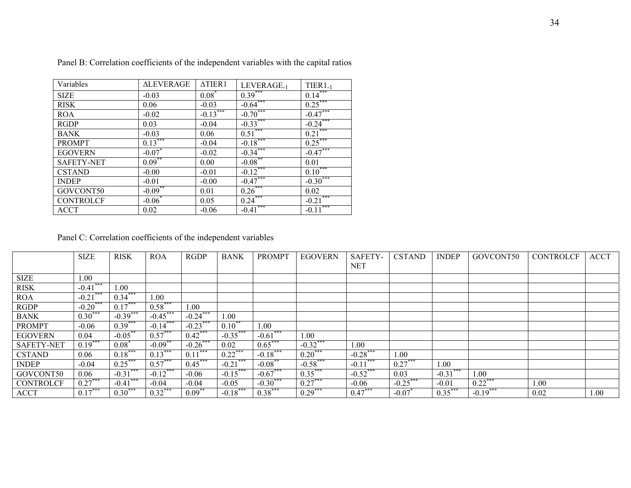| Variables         | <b>ALEVERAGE</b>     | $\Delta$ TIER1 | LEVERAGE <sub>-1</sub> | $TIER1_{-1}$   |
|-------------------|----------------------|----------------|------------------------|----------------|
| <b>SIZE</b>       | $-0.03$              | $0.08*$        | $0.39***$              | $0.14***$      |
| <b>RISK</b>       | 0.06                 | $-0.03$        | $-0.64***$             | $0.25***$      |
| <b>ROA</b>        | $-0.02$              | $-0.13***$     | $-0.70***$             | $-0.47***$     |
| <b>RGDP</b>       | 0.03                 | $-0.04$        | $-0.33***$             | $-0.24***$     |
| <b>BANK</b>       | $-0.03$              | 0.06           | $0.51***$              | $0.21***$      |
| <b>PROMPT</b>     | $0.13***$            | $-0.04$        | $-0.18***$             | $0.25***$      |
| <b>EGOVERN</b>    | $-0.07$ <sup>*</sup> | $-0.02$        | $-0.34***$             | $-0.47***$     |
| <b>SAFETY-NET</b> | $0.09$ **            | 0.00           | $-0.08$ **             | 0.01           |
| <b>CSTAND</b>     | $-0.00$              | $-0.01$        | $-0.12***$             | $0.10***$      |
| <b>INDEP</b>      | $-0.01$              | $-0.00$        | $-0.47***$             | $-0.30***$     |
| GOVCONT50         | $-0.09$ **           | 0.01           | $0.26***$              | 0.02           |
| <b>CONTROLCF</b>  | $-0.06$ <sup>*</sup> | 0.05           | $0.24***$              | $-0.21$ ***    |
| <b>ACCT</b>       | 0.02                 | $-0.06$        | ***<br>$-0.41$         | ***<br>$-0.11$ |

Panel B: Correlation coefficients of the independent variables with the capital ratios

Panel C: Correlation coefficients of the independent variables

|                   | <b>SIZE</b> | <b>RISK</b>    | <b>ROA</b> | <b>RGDP</b> | <b>BANK</b> | <b>PROMPT</b> | <b>EGOVERN</b>   | SAFETY-     | <b>CSTAND</b>     | <b>INDEP</b> | GOVCONT50  | <b>CONTROLCF</b> | <b>ACCT</b> |
|-------------------|-------------|----------------|------------|-------------|-------------|---------------|------------------|-------------|-------------------|--------------|------------|------------------|-------------|
|                   |             |                |            |             |             |               |                  | <b>NET</b>  |                   |              |            |                  |             |
| <b>SIZE</b>       | $1.00\,$    |                |            |             |             |               |                  |             |                   |              |            |                  |             |
| <b>RISK</b>       | $-0.41$ *** | 00.1           |            |             |             |               |                  |             |                   |              |            |                  |             |
| <b>ROA</b>        | $-0.21***$  | $0.34^{\circ}$ | 00.1       |             |             |               |                  |             |                   |              |            |                  |             |
| <b>RGDP</b>       | $-0.20***$  | $0.17***$      | $0.58***$  | .00.        |             |               |                  |             |                   |              |            |                  |             |
| <b>BANK</b>       | $0.30***$   | $-0.39***$     | $-0.45***$ | $-0.24$ *** | $1.00\,$    |               |                  |             |                   |              |            |                  |             |
| <b>PROMPT</b>     | $-0.06$     | $0.39***$      | $-0.14***$ | $-0.23***$  | $0.10^{**}$ | 00.1          |                  |             |                   |              |            |                  |             |
| <b>EGOVERN</b>    | 0.04        | $-0.05$ **     | $0.57***$  | $0.42***$   | $-0.35***$  | $-0.61$ ***   | 1.00             |             |                   |              |            |                  |             |
| <b>SAFETY-NET</b> | $0.19***$   | $0.08^*$       | $-0.09$ ** | $-0.26$ *** | 0.02        | $0.65***$     | $-0.32$ ***      | 1.00        |                   |              |            |                  |             |
| <b>CSTAND</b>     | 0.06        | $0.18***$      | $0.13***$  | ***<br>0.11 | $0.22$ ***  | $-0.18$ ***   | $0.20***$        | $-0.28$ *** | 1.00              |              |            |                  |             |
| <b>INDEP</b>      | $-0.04$     | $0.25***$      | $0.57***$  | $0.45***$   | $-0.21$ *** | $-0.08$ **    | $-0.58***$       | $-0.11$ *** | $\overline{0.27}$ | 00.          |            |                  |             |
| GOVCONT50         | 0.06        | $-0.31***$     | $-0.12$    | $-0.06$     | $-0.15***$  | $-0.67***$    | $0.35***$        | $-0.52***$  | 0.03              | $-0.31$      | 1.00       |                  |             |
| <b>CONTROLCF</b>  | $0.27***$   | $-0.41$ ***    | $-0.04$    | $-0.04$     | $-0.05$     | $-0.30***$    | $\frac{1}{0.27}$ | $-0.06$     | $-0.25***$        | $-0.01$      | $0.22***$  | 1.00             |             |
| <b>ACCT</b>       | $0.17***$   | $0.30***$      | $0.32***$  | $0.09$ **   | $-0.18***$  | $0.38***$     | $0.29***$        | $0.47***$   | $-0.07$           | $0.35***$    | $-0.19***$ | 0.02             | 1.00        |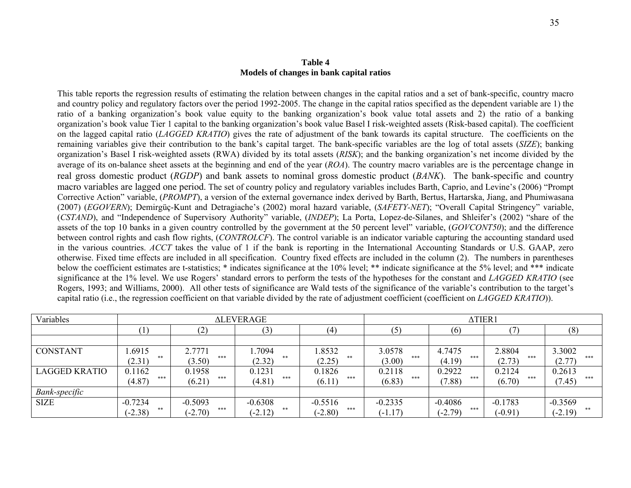#### **Table 4 Models of changes in bank capital ratios**

This table reports the regression results of estimating the relation between changes in the capital ratios and a set of bank-specific, country macro and country policy and regulatory factors over the period 1992-2005. The change in the capital ratios specified as the dependent variable are 1) the ratio of a banking organization's book value equity to the banking organization's book value total assets and 2) the ratio of a banking organization's book value Tier 1 capital to the banking organization's book value Basel I risk-weighted assets (Risk-based capital). The coefficient on the lagged capital ratio (*LAGGED KRATIO*) gives the rate of adjustment of the bank towards its capital structure. The coefficients on the remaining variables give their contribution to the bank's capital target. The bank-specific variables are the log of total assets (*SIZE*); banking organization's Basel I risk-weighted assets (RWA) divided by its total assets (*RISK*); and the banking organization's net income divided by the average of its on-balance sheet assets at the beginning and end of the year (*ROA*). The country macro variables are is the percentage change in real gross domestic product (*RGDP*) and bank assets to nominal gross domestic product (*BANK*). The bank-specific and country macro variables are lagged one period. The set of country policy and regulatory variables includes Barth, Caprio, and Levine's (2006) "Prompt Corrective Action" variable, (*PROMPT*), a version of the external governance index derived by Barth, Bertus, Hartarska, Jiang, and Phumiwasana (2007) (*EGOVERN*); Demirgüç-Kunt and Detragiache's (2002) moral hazard variable, (*SAFETY-NET*); "Overall Capital Stringency" variable, (*CSTAND*), and "Independence of Supervisory Authority" variable, (*INDEP*); La Porta, Lopez-de-Silanes, and Shleifer's (2002) "share of the assets of the top 10 banks in a given country controlled by the government at the 50 percent level" variable, (*GOVCONT50*); and the difference between control rights and cash flow rights, (*CONTROLCF*). The control variable is an indicator variable capturing the accounting standard used in the various countries. *ACCT* takes the value of 1 if the bank is reporting in the International Accounting Standards or U.S. GAAP, zero otherwise. Fixed time effects are included in all specification. Country fixed effects are included in the column (2). The numbers in parentheses below the coefficient estimates are t-statistics; \* indicates significance at the 10% level; \*\* indicate significance at the 5% level; and \*\*\* indicate significance at the 1% level. We use Rogers' standard errors to perform the tests of the hypotheses for the constant and *LAGGED KRATIO* (see Rogers, 1993; and Williams, 2000). All other tests of significance are Wald tests of the significance of the variable's contribution to the target's capital ratio (i.e., the regression coefficient on that variable divided by the rate of adjustment coefficient (coefficient on *LAGGED KRATIO*)).

| Variables            | $\Delta$ TIER1<br><b>ALEVERAGE</b> |                  |                 |                  |               |                  |               |                 |
|----------------------|------------------------------------|------------------|-----------------|------------------|---------------|------------------|---------------|-----------------|
|                      |                                    | (2)              | (3)             | (4)              | (5)           | (6)              |               | (8)             |
|                      |                                    |                  |                 |                  |               |                  |               |                 |
| <b>CONSTANT</b>      | .6915                              | 2.7771           | 1.7094          | .8532            | 3.0578        | 4.7475           | 2.8804        | 3.3002          |
|                      | **<br>(2.31)                       | ***<br>(3.50)    | **<br>(2.32)    | **<br>(2.25)     | ***<br>(3.00) | ***<br>(4.19)    | ***<br>(2.73) | ***<br>(2.77)   |
| <b>LAGGED KRATIO</b> | 0.1162                             | 0.1958           | 0.1231          | 0.1826           | 0.2118        | 0.2922           | 0.2124        | 0.2613          |
|                      | ***<br>(4.87)                      | ***<br>(6.21)    | ***<br>(4.81)   | ***<br>(6.11)    | ***<br>(6.83) | ***<br>(7.88)    | ***<br>(6.70) | ***<br>(7.45)   |
| Bank-specific        |                                    |                  |                 |                  |               |                  |               |                 |
| <b>SIZE</b>          | $-0.7234$                          | $-0.5093$        | $-0.6308$       | $-0.5516$        | $-0.2335$     | $-0.4086$        | $-0.1783$     | $-0.3569$       |
|                      | **<br>$(-2.38)$                    | ***<br>$(-2.70)$ | **<br>$(-2.12)$ | ***<br>$(-2.80)$ | $(-1.17)$     | ***<br>$(-2.79)$ | $(-0.91)$     | **<br>$(-2.19)$ |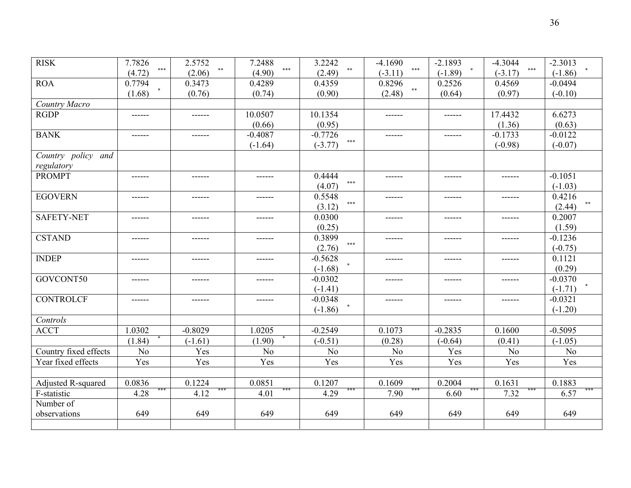| <b>RISK</b>           | 7.7826        | 2.5752               | 7.2488          | 3.2242              | $-4.1690$            | $-2.1893$ | $-4.3044$        | $-2.3013$      |
|-----------------------|---------------|----------------------|-----------------|---------------------|----------------------|-----------|------------------|----------------|
|                       | ***<br>(4.72) | $\ast\ast$<br>(2.06) | $***$<br>(4.90) | $* *$<br>(2.49)     | $***$<br>$(-3.11)$   | $(-1.89)$ | ***<br>$(-3.17)$ | $(-1.86)$      |
| <b>ROA</b>            | 0.7794        | 0.3473               | 0.4289          | 0.4359              | 0.8296               | 0.2526    | 0.4569           | $-0.0494$      |
|                       | (1.68)        | (0.76)               | (0.74)          | (0.90)              | $\ast\ast$<br>(2.48) | (0.64)    | (0.97)           | $(-0.10)$      |
| Country Macro         |               |                      |                 |                     |                      |           |                  |                |
| <b>RGDP</b>           | ------        | ------               | 10.0507         | 10.1354             | ------               | ------    | 17.4432          | 6.6273         |
|                       |               |                      | (0.66)          | (0.95)              |                      |           | (1.36)           | (0.63)         |
| <b>BANK</b>           | ------        | ------               | $-0.4087$       | $-0.7726$           | ------               | ------    | $-0.1733$        | $-0.0122$      |
|                       |               |                      | $(-1.64)$       | ***<br>$(-3.77)$    |                      |           | $(-0.98)$        | $(-0.07)$      |
| Country policy and    |               |                      |                 |                     |                      |           |                  |                |
| regulatory            |               |                      |                 |                     |                      |           |                  |                |
| <b>PROMPT</b>         | ------        | ------               | ------          | 0.4444              | ------               | ------    | ------           | $-0.1051$      |
|                       |               |                      |                 | ***<br>(4.07)       |                      |           |                  | $(-1.03)$      |
| <b>EGOVERN</b>        | ------        | ------               | ------          | 0.5548              | ------               | ------    | ------           | 0.4216         |
|                       |               |                      |                 | $***$<br>(3.12)     |                      |           |                  | (2.44)         |
| <b>SAFETY-NET</b>     | ------        | ------               | ------          | 0.0300              | ------               | ------    | ------           | 0.2007         |
|                       |               |                      |                 | (0.25)              |                      |           |                  | (1.59)         |
| <b>CSTAND</b>         | ------        | ------               | ------          | 0.3899              | ------               | ------    | ------           | $-0.1236$      |
|                       |               |                      |                 | ***<br>(2.76)       |                      |           |                  | $(-0.75)$      |
| <b>INDEP</b>          | ------        | ------               | ------          | $-0.5628$           | ------               | ------    | ------           | 0.1121         |
|                       |               |                      |                 | $(-1.68)$           |                      |           |                  | (0.29)         |
| GOVCONT50             | ------        | $- - - - - -$        | ------          | $-0.0302$           | ------               | ------    | ------           | $-0.0370$      |
|                       |               |                      |                 | $(-1.41)$           |                      |           |                  | $(-1.71)$      |
| <b>CONTROLCF</b>      | ------        | ------               | ------          | $-0.0348$           | ------               | ------    | ------           | $-0.0321$      |
|                       |               |                      |                 | $\ast$<br>$(-1.86)$ |                      |           |                  | $(-1.20)$      |
| Controls              |               |                      |                 |                     |                      |           |                  |                |
| <b>ACCT</b>           | 1.0302        | $-0.8029$            | 1.0205          | $-0.2549$           | 0.1073               | $-0.2835$ | 0.1600           | $-0.5095$      |
|                       | (1.84)        | $(-1.61)$            | (1.90)          | $(-0.51)$           | (0.28)               | $(-0.64)$ | (0.41)           | $(-1.05)$      |
| Country fixed effects | No            | Yes                  | N <sub>o</sub>  | N <sub>o</sub>      | N <sub>o</sub>       | Yes       | N <sub>o</sub>   | N <sub>o</sub> |
| Year fixed effects    | Yes           | Yes                  | Yes             | Yes                 | Yes                  | Yes       | Yes              | Yes            |
|                       |               |                      |                 |                     |                      |           |                  |                |
| Adjusted R-squared    | 0.0836        | 0.1224               | 0.0851          | 0.1207              | 0.1609               | 0.2004    | 0.1631           | 0.1883         |
| F-statistic           | 4.28          | 4.12                 | 4.01            | 4.29                | 7.90                 | 6.60      | 7.32             | 6.57           |
| Number of             |               |                      |                 |                     |                      |           |                  |                |
| observations          | 649           | 649                  | 649             | 649                 | 649                  | 649       | 649              | 649            |
|                       |               |                      |                 |                     |                      |           |                  |                |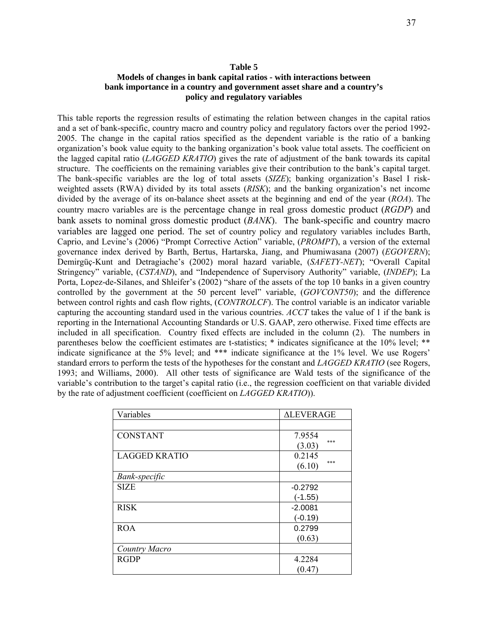#### **Table 5**

#### **Models of changes in bank capital ratios - with interactions between bank importance in a country and government asset share and a country's policy and regulatory variables**

This table reports the regression results of estimating the relation between changes in the capital ratios and a set of bank-specific, country macro and country policy and regulatory factors over the period 1992- 2005. The change in the capital ratios specified as the dependent variable is the ratio of a banking organization's book value equity to the banking organization's book value total assets. The coefficient on the lagged capital ratio (*LAGGED KRATIO*) gives the rate of adjustment of the bank towards its capital structure. The coefficients on the remaining variables give their contribution to the bank's capital target. The bank-specific variables are the log of total assets (*SIZE*); banking organization's Basel I riskweighted assets (RWA) divided by its total assets (*RISK*); and the banking organization's net income divided by the average of its on-balance sheet assets at the beginning and end of the year (*ROA*). The country macro variables are is the percentage change in real gross domestic product (*RGDP*) and bank assets to nominal gross domestic product (*BANK*). The bank-specific and country macro variables are lagged one period. The set of country policy and regulatory variables includes Barth, Caprio, and Levine's (2006) "Prompt Corrective Action" variable, (*PROMPT*), a version of the external governance index derived by Barth, Bertus, Hartarska, Jiang, and Phumiwasana (2007) (*EGOVERN*); Demirgüç-Kunt and Detragiache's (2002) moral hazard variable, (*SAFETY-NET*); "Overall Capital Stringency" variable, (*CSTAND*), and "Independence of Supervisory Authority" variable, (*INDEP*); La Porta, Lopez-de-Silanes, and Shleifer's (2002) "share of the assets of the top 10 banks in a given country controlled by the government at the 50 percent level" variable, (*GOVCONT50*); and the difference between control rights and cash flow rights, (*CONTROLCF*). The control variable is an indicator variable capturing the accounting standard used in the various countries. *ACCT* takes the value of 1 if the bank is reporting in the International Accounting Standards or U.S. GAAP, zero otherwise. Fixed time effects are included in all specification. Country fixed effects are included in the column (2). The numbers in parentheses below the coefficient estimates are t-statistics; \* indicates significance at the 10% level; \*\* indicate significance at the 5% level; and \*\*\* indicate significance at the 1% level. We use Rogers' standard errors to perform the tests of the hypotheses for the constant and *LAGGED KRATIO* (see Rogers, 1993; and Williams, 2000). All other tests of significance are Wald tests of the significance of the variable's contribution to the target's capital ratio (i.e., the regression coefficient on that variable divided by the rate of adjustment coefficient (coefficient on *LAGGED KRATIO*)).

| Variables            | <b>ALEVERAGE</b> |
|----------------------|------------------|
|                      |                  |
| <b>CONSTANT</b>      | 7.9554           |
|                      | ***<br>(3.03)    |
| <b>LAGGED KRATIO</b> | 0.2145           |
|                      | ***<br>(6.10)    |
| Bank-specific        |                  |
| <b>SIZE</b>          | $-0.2792$        |
|                      | $(-1.55)$        |
| <b>RISK</b>          | $-2.0081$        |
|                      | $(-0.19)$        |
| <b>ROA</b>           | 0.2799           |
|                      | (0.63)           |
| Country Macro        |                  |
| <b>RGDP</b>          | 4.2284           |
|                      | (0.47)           |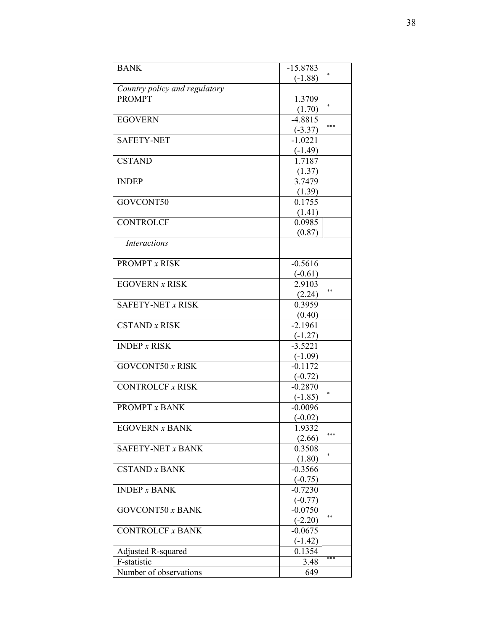| <b>BANK</b>                   | $-15.8783$<br>$\ast$ |
|-------------------------------|----------------------|
|                               | $(-1.88)$            |
| Country policy and regulatory |                      |
| <b>PROMPT</b>                 | 1.3709<br>*          |
|                               | (1.70)               |
| <b>EGOVERN</b>                | $-4.8815$<br>***     |
|                               | $(-3.37)$            |
| <b>SAFETY-NET</b>             | $-1.0221$            |
|                               | $(-1.49)$            |
| <b>CSTAND</b>                 | 1.7187               |
|                               | (1.37)               |
| <b>INDEP</b>                  | 3.7479               |
|                               | (1.39)               |
| GOVCONT50                     | 0.1755               |
|                               | (1.41)               |
| <b>CONTROLCF</b>              | 0.0985               |
|                               | (0.87)               |
| <i>Interactions</i>           |                      |
| PROMPT x RISK                 | $-0.5616$            |
|                               | $(-0.61)$            |
| <b>EGOVERN x RISK</b>         | 2.9103               |
|                               | **<br>(2.24)         |
| SAFETY-NET x RISK             | 0.3959               |
|                               | (0.40)               |
| CSTAND $x$ RISK               | $-2.1961$            |
|                               | $(-1.27)$            |
| INDEP $x$ RISK                | $-3.5221$            |
|                               | $(-1.09)$            |
| <b>GOVCONT50 x RISK</b>       | $-0.1172$            |
|                               | $(-0.72)$            |
| <b>CONTROLCF x RISK</b>       | $-0.2870$            |
|                               | *<br>$(-1.85)$       |
| PROMPT x BANK                 | $-0.0096$            |
|                               | $(-0.02)$            |
| EGOVERN x BANK                | 1.9332               |
|                               | ***<br>(2.66)        |
| SAFETY-NET x BANK             | 0.3508               |
|                               | *                    |
| CSTAND x BANK                 | (1.80)               |
|                               | $-0.3566$            |
|                               | $(-0.75)$            |
| INDEP $x$ BANK                | $-0.7230$            |
|                               | $(-0.77)$            |
| <b>GOVCONT50 x BANK</b>       | $-0.0750$<br>**      |
|                               | $(-2.20)$            |
| <b>CONTROLCF x BANK</b>       | $-0.0675$            |
|                               | $(-1.42)$            |
| Adjusted R-squared            | 0.1354<br>***        |
| F-statistic                   | 3.48                 |
| Number of observations        | 649                  |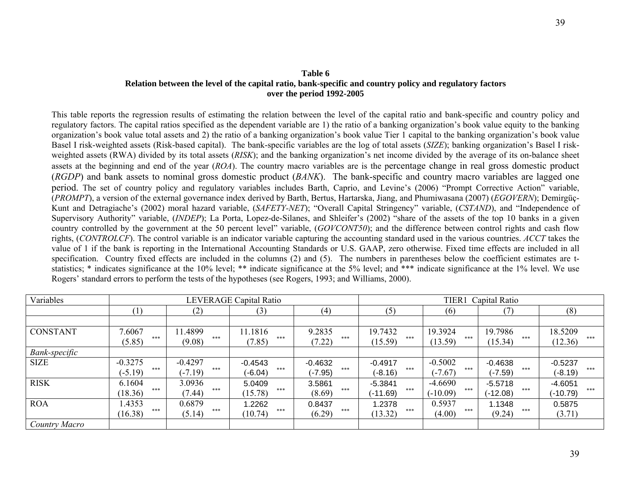#### **Table 6 Relation between the level of the capital ratio, bank-specific and country policy and regulatory factors over the period 1992-2005**

This table reports the regression results of estimating the relation between the level of the capital ratio and bank-specific and country policy and regulatory factors. The capital ratios specified as the dependent variable are 1) the ratio of a banking organization's book value equity to the banking organization's book value total assets and 2) the ratio of a banking organization's book value Tier 1 capital to the banking organization's book value Basel I risk-weighted assets (Risk-based capital). The bank-specific variables are the log of total assets (*SIZE*); banking organization's Basel I riskweighted assets (RWA) divided by its total assets (*RISK*); and the banking organization's net income divided by the average of its on-balance sheet assets at the beginning and end of the year (*ROA*). The country macro variables are is the percentage change in real gross domestic product (*RGDP*) and bank assets to nominal gross domestic product (*BANK*). The bank-specific and country macro variables are lagged one period. The set of country policy and regulatory variables includes Barth, Caprio, and Levine's (2006) "Prompt Corrective Action" variable, (*PROMPT*), a version of the external governance index derived by Barth, Bertus, Hartarska, Jiang, and Phumiwasana (2007) (*EGOVERN*); Demirgüç-Kunt and Detragiache's (2002) moral hazard variable, (*SAFETY-NET*); "Overall Capital Stringency" variable, (*CSTAND*), and "Independence of Supervisory Authority" variable, (*INDEP*); La Porta, Lopez-de-Silanes, and Shleifer's (2002) "share of the assets of the top 10 banks in a given country controlled by the government at the 50 percent level" variable, (*GOVCONT50*); and the difference between control rights and cash flow rights, (*CONTROLCF*). The control variable is an indicator variable capturing the accounting standard used in the various countries. *ACCT* takes the value of 1 if the bank is reporting in the International Accounting Standards or U.S. GAAP, zero otherwise. Fixed time effects are included in all specification. Country fixed effects are included in the columns (2) and (5). The numbers in parentheses below the coefficient estimates are tstatistics; \* indicates significance at the 10% level; \*\* indicate significance at the 5% level; and \*\*\* indicate significance at the 1% level. We use Rogers' standard errors to perform the tests of the hypotheses (see Rogers, 1993; and Williams, 2000).

| Variables       |                               | TIER1<br>Capital Ratio        |                               |                               |                                |                                |                                |                                |
|-----------------|-------------------------------|-------------------------------|-------------------------------|-------------------------------|--------------------------------|--------------------------------|--------------------------------|--------------------------------|
|                 | (1)                           | (2)                           | (3)                           | (4)                           | (5)                            | (6)                            |                                | (8)                            |
|                 |                               |                               |                               |                               |                                |                                |                                |                                |
| <b>CONSTANT</b> | .6067<br>***<br>(5.85)        | 11.4899<br>***<br>(9.08)      | 11.1816<br>***<br>(7.85)      | 9.2835<br>***<br>(7.22)       | 19.7432<br>***<br>(15.59)      | 19.3924<br>***<br>(13.59)      | 19.7986<br>***<br>(15.34)      | 18.5209<br>***<br>(12.36)      |
| Bank-specific   |                               |                               |                               |                               |                                |                                |                                |                                |
| <b>SIZE</b>     | $-0.3275$<br>***<br>$(-5.19)$ | $-0.4297$<br>***<br>$(-7.19)$ | $-0.4543$<br>***<br>$(-6.04)$ | $-0.4632$<br>***<br>$(-7.95)$ | $-0.4917$<br>***<br>$(-8.16)$  | $-0.5002$<br>***<br>$(-7.67)$  | $-0.4638$<br>***<br>$(-7.59)$  | $-0.5237$<br>***<br>$(-8.19)$  |
| <b>RISK</b>     | 6.1604<br>***<br>(18.36)      | 3.0936<br>***<br>(7.44)       | 5.0409<br>***<br>(15.78)      | 3.5861<br>***<br>(8.69)       | $-5.3841$<br>***<br>$(-11.69)$ | $-4.6690$<br>***<br>$(-10.09)$ | $-5.5718$<br>***<br>$(-12.08)$ | $-4.6051$<br>***<br>$(-10.79)$ |
| <b>ROA</b>      | .4353<br>***<br>(16.38)       | 0.6879<br>***<br>(5.14)       | 1.2262<br>***<br>(10.74)      | 0.8437<br>***<br>(6.29)       | 1.2378<br>***<br>(13.32)       | 0.5937<br>***<br>(4.00)        | 1.1348<br>***<br>(9.24)        | 0.5875<br>(3.71)               |
| Country Macro   |                               |                               |                               |                               |                                |                                |                                |                                |